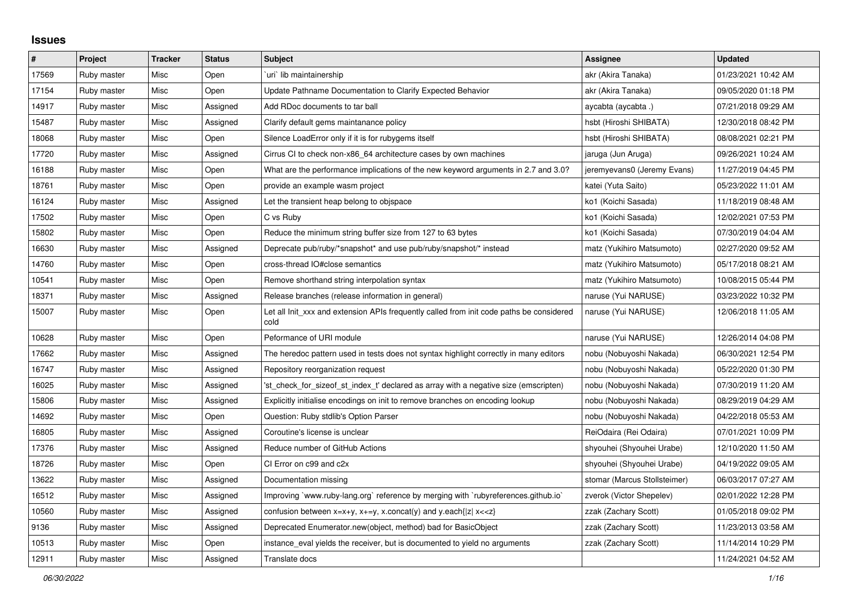## **Issues**

| $\vert$ # | Project     | <b>Tracker</b> | <b>Status</b> | <b>Subject</b>                                                                                                                          | <b>Assignee</b>              | <b>Updated</b>      |
|-----------|-------------|----------------|---------------|-----------------------------------------------------------------------------------------------------------------------------------------|------------------------------|---------------------|
| 17569     | Ruby master | Misc           | Open          | uri'lib maintainership                                                                                                                  | akr (Akira Tanaka)           | 01/23/2021 10:42 AM |
| 17154     | Ruby master | Misc           | Open          | Update Pathname Documentation to Clarify Expected Behavior                                                                              | akr (Akira Tanaka)           | 09/05/2020 01:18 PM |
| 14917     | Ruby master | Misc           | Assigned      | Add RDoc documents to tar ball                                                                                                          | aycabta (aycabta .)          | 07/21/2018 09:29 AM |
| 15487     | Ruby master | Misc           | Assigned      | Clarify default gems maintanance policy                                                                                                 | hsbt (Hiroshi SHIBATA)       | 12/30/2018 08:42 PM |
| 18068     | Ruby master | Misc           | Open          | Silence LoadError only if it is for rubygems itself                                                                                     | hsbt (Hiroshi SHIBATA)       | 08/08/2021 02:21 PM |
| 17720     | Ruby master | Misc           | Assigned      | Cirrus CI to check non-x86_64 architecture cases by own machines                                                                        | jaruga (Jun Aruga)           | 09/26/2021 10:24 AM |
| 16188     | Ruby master | Misc           | Open          | What are the performance implications of the new keyword arguments in 2.7 and 3.0?                                                      | jeremyevans0 (Jeremy Evans)  | 11/27/2019 04:45 PM |
| 18761     | Ruby master | Misc           | Open          | provide an example wasm project                                                                                                         | katei (Yuta Saito)           | 05/23/2022 11:01 AM |
| 16124     | Ruby master | Misc           | Assigned      | Let the transient heap belong to objspace                                                                                               | ko1 (Koichi Sasada)          | 11/18/2019 08:48 AM |
| 17502     | Ruby master | Misc           | Open          | C vs Ruby                                                                                                                               | ko1 (Koichi Sasada)          | 12/02/2021 07:53 PM |
| 15802     | Ruby master | Misc           | Open          | Reduce the minimum string buffer size from 127 to 63 bytes                                                                              | ko1 (Koichi Sasada)          | 07/30/2019 04:04 AM |
| 16630     | Ruby master | Misc           | Assigned      | Deprecate pub/ruby/*snapshot* and use pub/ruby/snapshot/* instead                                                                       | matz (Yukihiro Matsumoto)    | 02/27/2020 09:52 AM |
| 14760     | Ruby master | Misc           | Open          | cross-thread IO#close semantics                                                                                                         | matz (Yukihiro Matsumoto)    | 05/17/2018 08:21 AM |
| 10541     | Ruby master | Misc           | Open          | Remove shorthand string interpolation syntax                                                                                            | matz (Yukihiro Matsumoto)    | 10/08/2015 05:44 PM |
| 18371     | Ruby master | Misc           | Assigned      | Release branches (release information in general)                                                                                       | naruse (Yui NARUSE)          | 03/23/2022 10:32 PM |
| 15007     | Ruby master | Misc           | Open          | Let all Init xxx and extension APIs frequently called from init code paths be considered<br>cold                                        | naruse (Yui NARUSE)          | 12/06/2018 11:05 AM |
| 10628     | Ruby master | Misc           | Open          | Peformance of URI module                                                                                                                | naruse (Yui NARUSE)          | 12/26/2014 04:08 PM |
| 17662     | Ruby master | Misc           | Assigned      | The heredoc pattern used in tests does not syntax highlight correctly in many editors                                                   | nobu (Nobuyoshi Nakada)      | 06/30/2021 12:54 PM |
| 16747     | Ruby master | Misc           | Assigned      | Repository reorganization request                                                                                                       | nobu (Nobuyoshi Nakada)      | 05/22/2020 01:30 PM |
| 16025     | Ruby master | Misc           | Assigned      | 'st check for sizeof st index t' declared as array with a negative size (emscripten)                                                    | nobu (Nobuyoshi Nakada)      | 07/30/2019 11:20 AM |
| 15806     | Ruby master | Misc           | Assigned      | Explicitly initialise encodings on init to remove branches on encoding lookup                                                           | nobu (Nobuyoshi Nakada)      | 08/29/2019 04:29 AM |
| 14692     | Ruby master | Misc           | Open          | Question: Ruby stdlib's Option Parser                                                                                                   | nobu (Nobuyoshi Nakada)      | 04/22/2018 05:53 AM |
| 16805     | Ruby master | Misc           | Assigned      | Coroutine's license is unclear                                                                                                          | ReiOdaira (Rei Odaira)       | 07/01/2021 10:09 PM |
| 17376     | Ruby master | Misc           | Assigned      | Reduce number of GitHub Actions                                                                                                         | shyouhei (Shyouhei Urabe)    | 12/10/2020 11:50 AM |
| 18726     | Ruby master | Misc           | Open          | CI Error on c99 and c2x                                                                                                                 | shyouhei (Shyouhei Urabe)    | 04/19/2022 09:05 AM |
| 13622     | Ruby master | Misc           | Assigned      | Documentation missing                                                                                                                   | stomar (Marcus Stollsteimer) | 06/03/2017 07:27 AM |
| 16512     | Ruby master | Misc           | Assigned      | Improving `www.ruby-lang.org` reference by merging with `rubyreferences.github.io`                                                      | zverok (Victor Shepelev)     | 02/01/2022 12:28 PM |
| 10560     | Ruby master | Misc           | Assigned      | confusion between x=x+y, x+=y, x.concat(y) and y.each{ z  x< <z}< td=""><td>zzak (Zachary Scott)</td><td>01/05/2018 09:02 PM</td></z}<> | zzak (Zachary Scott)         | 01/05/2018 09:02 PM |
| 9136      | Ruby master | Misc           | Assigned      | Deprecated Enumerator.new(object, method) bad for BasicObject                                                                           | zzak (Zachary Scott)         | 11/23/2013 03:58 AM |
| 10513     | Ruby master | Misc           | Open          | instance_eval yields the receiver, but is documented to yield no arguments                                                              | zzak (Zachary Scott)         | 11/14/2014 10:29 PM |
| 12911     | Ruby master | Misc           | Assigned      | Translate docs                                                                                                                          |                              | 11/24/2021 04:52 AM |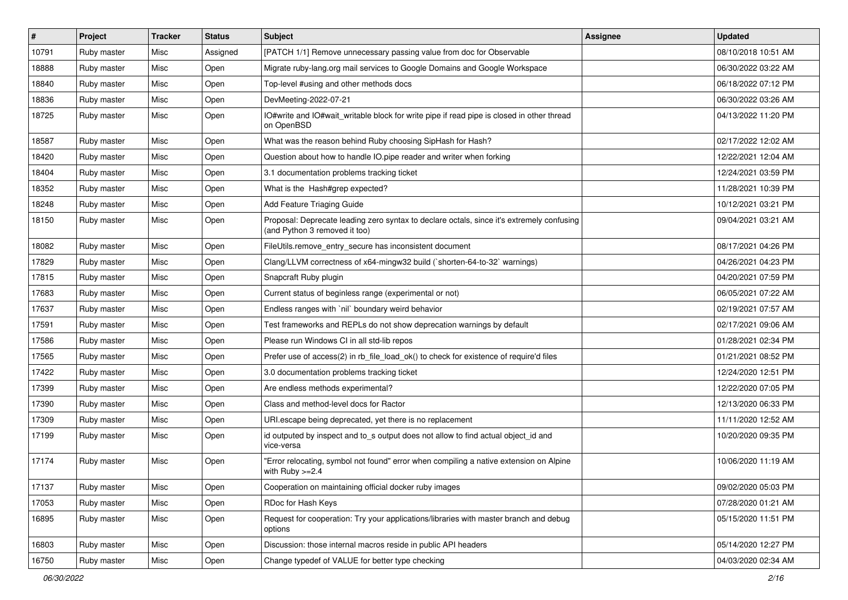| $\vert$ # | Project     | <b>Tracker</b> | <b>Status</b> | Subject                                                                                                                    | <b>Assignee</b> | <b>Updated</b>      |
|-----------|-------------|----------------|---------------|----------------------------------------------------------------------------------------------------------------------------|-----------------|---------------------|
| 10791     | Ruby master | Misc           | Assigned      | [PATCH 1/1] Remove unnecessary passing value from doc for Observable                                                       |                 | 08/10/2018 10:51 AM |
| 18888     | Ruby master | Misc           | Open          | Migrate ruby-lang.org mail services to Google Domains and Google Workspace                                                 |                 | 06/30/2022 03:22 AM |
| 18840     | Ruby master | Misc           | Open          | Top-level #using and other methods docs                                                                                    |                 | 06/18/2022 07:12 PM |
| 18836     | Ruby master | Misc           | Open          | DevMeeting-2022-07-21                                                                                                      |                 | 06/30/2022 03:26 AM |
| 18725     | Ruby master | Misc           | Open          | IO#write and IO#wait_writable block for write pipe if read pipe is closed in other thread<br>on OpenBSD                    |                 | 04/13/2022 11:20 PM |
| 18587     | Ruby master | Misc           | Open          | What was the reason behind Ruby choosing SipHash for Hash?                                                                 |                 | 02/17/2022 12:02 AM |
| 18420     | Ruby master | Misc           | Open          | Question about how to handle IO.pipe reader and writer when forking                                                        |                 | 12/22/2021 12:04 AM |
| 18404     | Ruby master | Misc           | Open          | 3.1 documentation problems tracking ticket                                                                                 |                 | 12/24/2021 03:59 PM |
| 18352     | Ruby master | Misc           | Open          | What is the Hash#grep expected?                                                                                            |                 | 11/28/2021 10:39 PM |
| 18248     | Ruby master | Misc           | Open          | Add Feature Triaging Guide                                                                                                 |                 | 10/12/2021 03:21 PM |
| 18150     | Ruby master | Misc           | Open          | Proposal: Deprecate leading zero syntax to declare octals, since it's extremely confusing<br>(and Python 3 removed it too) |                 | 09/04/2021 03:21 AM |
| 18082     | Ruby master | Misc           | Open          | FileUtils.remove_entry_secure has inconsistent document                                                                    |                 | 08/17/2021 04:26 PM |
| 17829     | Ruby master | Misc           | Open          | Clang/LLVM correctness of x64-mingw32 build (`shorten-64-to-32` warnings)                                                  |                 | 04/26/2021 04:23 PM |
| 17815     | Ruby master | Misc           | Open          | Snapcraft Ruby plugin                                                                                                      |                 | 04/20/2021 07:59 PM |
| 17683     | Ruby master | Misc           | Open          | Current status of beginless range (experimental or not)                                                                    |                 | 06/05/2021 07:22 AM |
| 17637     | Ruby master | Misc           | Open          | Endless ranges with `nil` boundary weird behavior                                                                          |                 | 02/19/2021 07:57 AM |
| 17591     | Ruby master | Misc           | Open          | Test frameworks and REPLs do not show deprecation warnings by default                                                      |                 | 02/17/2021 09:06 AM |
| 17586     | Ruby master | Misc           | Open          | Please run Windows CI in all std-lib repos                                                                                 |                 | 01/28/2021 02:34 PM |
| 17565     | Ruby master | Misc           | Open          | Prefer use of access(2) in rb_file_load_ok() to check for existence of require'd files                                     |                 | 01/21/2021 08:52 PM |
| 17422     | Ruby master | Misc           | Open          | 3.0 documentation problems tracking ticket                                                                                 |                 | 12/24/2020 12:51 PM |
| 17399     | Ruby master | Misc           | Open          | Are endless methods experimental?                                                                                          |                 | 12/22/2020 07:05 PM |
| 17390     | Ruby master | Misc           | Open          | Class and method-level docs for Ractor                                                                                     |                 | 12/13/2020 06:33 PM |
| 17309     | Ruby master | Misc           | Open          | URI escape being deprecated, yet there is no replacement                                                                   |                 | 11/11/2020 12:52 AM |
| 17199     | Ruby master | Misc           | Open          | id outputed by inspect and to_s output does not allow to find actual object_id and<br>vice-versa                           |                 | 10/20/2020 09:35 PM |
| 17174     | Ruby master | Misc           | Open          | "Error relocating, symbol not found" error when compiling a native extension on Alpine<br>with Ruby $>=2.4$                |                 | 10/06/2020 11:19 AM |
| 17137     | Ruby master | Misc           | Open          | Cooperation on maintaining official docker ruby images                                                                     |                 | 09/02/2020 05:03 PM |
| 17053     | Ruby master | Misc           | Open          | RDoc for Hash Keys                                                                                                         |                 | 07/28/2020 01:21 AM |
| 16895     | Ruby master | Misc           | Open          | Request for cooperation: Try your applications/libraries with master branch and debug<br>options                           |                 | 05/15/2020 11:51 PM |
| 16803     | Ruby master | Misc           | Open          | Discussion: those internal macros reside in public API headers                                                             |                 | 05/14/2020 12:27 PM |
| 16750     | Ruby master | Misc           | Open          | Change typedef of VALUE for better type checking                                                                           |                 | 04/03/2020 02:34 AM |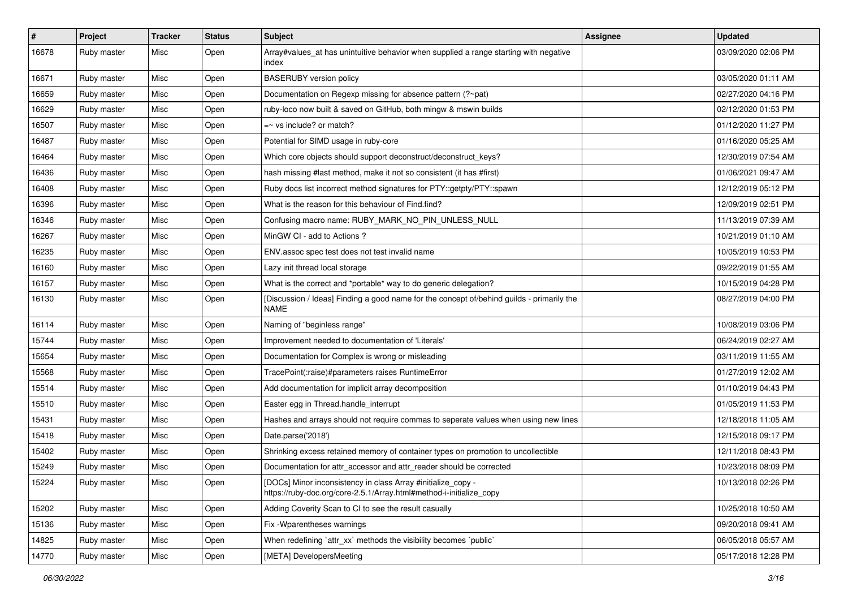| $\sharp$ | Project     | <b>Tracker</b> | <b>Status</b> | Subject                                                                                                                             | <b>Assignee</b> | <b>Updated</b>      |
|----------|-------------|----------------|---------------|-------------------------------------------------------------------------------------------------------------------------------------|-----------------|---------------------|
| 16678    | Ruby master | Misc           | Open          | Array#values_at has unintuitive behavior when supplied a range starting with negative<br>index                                      |                 | 03/09/2020 02:06 PM |
| 16671    | Ruby master | Misc           | Open          | <b>BASERUBY</b> version policy                                                                                                      |                 | 03/05/2020 01:11 AM |
| 16659    | Ruby master | Misc           | Open          | Documentation on Regexp missing for absence pattern (?~pat)                                                                         |                 | 02/27/2020 04:16 PM |
| 16629    | Ruby master | Misc           | Open          | ruby-loco now built & saved on GitHub, both mingw & mswin builds                                                                    |                 | 02/12/2020 01:53 PM |
| 16507    | Ruby master | Misc           | Open          | =~ vs include? or match?                                                                                                            |                 | 01/12/2020 11:27 PM |
| 16487    | Ruby master | Misc           | Open          | Potential for SIMD usage in ruby-core                                                                                               |                 | 01/16/2020 05:25 AM |
| 16464    | Ruby master | Misc           | Open          | Which core objects should support deconstruct/deconstruct_keys?                                                                     |                 | 12/30/2019 07:54 AM |
| 16436    | Ruby master | Misc           | Open          | hash missing #last method, make it not so consistent (it has #first)                                                                |                 | 01/06/2021 09:47 AM |
| 16408    | Ruby master | Misc           | Open          | Ruby docs list incorrect method signatures for PTY::getpty/PTY::spawn                                                               |                 | 12/12/2019 05:12 PM |
| 16396    | Ruby master | Misc           | Open          | What is the reason for this behaviour of Find.find?                                                                                 |                 | 12/09/2019 02:51 PM |
| 16346    | Ruby master | Misc           | Open          | Confusing macro name: RUBY_MARK_NO_PIN_UNLESS_NULL                                                                                  |                 | 11/13/2019 07:39 AM |
| 16267    | Ruby master | Misc           | Open          | MinGW CI - add to Actions ?                                                                                                         |                 | 10/21/2019 01:10 AM |
| 16235    | Ruby master | Misc           | Open          | ENV assoc spec test does not test invalid name                                                                                      |                 | 10/05/2019 10:53 PM |
| 16160    | Ruby master | Misc           | Open          | Lazy init thread local storage                                                                                                      |                 | 09/22/2019 01:55 AM |
| 16157    | Ruby master | Misc           | Open          | What is the correct and *portable* way to do generic delegation?                                                                    |                 | 10/15/2019 04:28 PM |
| 16130    | Ruby master | Misc           | Open          | [Discussion / Ideas] Finding a good name for the concept of/behind guilds - primarily the<br><b>NAME</b>                            |                 | 08/27/2019 04:00 PM |
| 16114    | Ruby master | Misc           | Open          | Naming of "beginless range"                                                                                                         |                 | 10/08/2019 03:06 PM |
| 15744    | Ruby master | Misc           | Open          | Improvement needed to documentation of 'Literals'                                                                                   |                 | 06/24/2019 02:27 AM |
| 15654    | Ruby master | Misc           | Open          | Documentation for Complex is wrong or misleading                                                                                    |                 | 03/11/2019 11:55 AM |
| 15568    | Ruby master | Misc           | Open          | TracePoint(:raise)#parameters raises RuntimeError                                                                                   |                 | 01/27/2019 12:02 AM |
| 15514    | Ruby master | Misc           | Open          | Add documentation for implicit array decomposition                                                                                  |                 | 01/10/2019 04:43 PM |
| 15510    | Ruby master | Misc           | Open          | Easter egg in Thread.handle_interrupt                                                                                               |                 | 01/05/2019 11:53 PM |
| 15431    | Ruby master | Misc           | Open          | Hashes and arrays should not require commas to seperate values when using new lines                                                 |                 | 12/18/2018 11:05 AM |
| 15418    | Ruby master | Misc           | Open          | Date.parse('2018')                                                                                                                  |                 | 12/15/2018 09:17 PM |
| 15402    | Ruby master | Misc           | Open          | Shrinking excess retained memory of container types on promotion to uncollectible                                                   |                 | 12/11/2018 08:43 PM |
| 15249    | Ruby master | Misc           | Open          | Documentation for attr_accessor and attr_reader should be corrected                                                                 |                 | 10/23/2018 08:09 PM |
| 15224    | Ruby master | Misc           | Open          | [DOCs] Minor inconsistency in class Array #initialize_copy -<br>https://ruby-doc.org/core-2.5.1/Array.html#method-i-initialize_copy |                 | 10/13/2018 02:26 PM |
| 15202    | Ruby master | Misc           | Open          | Adding Coverity Scan to CI to see the result casually                                                                               |                 | 10/25/2018 10:50 AM |
| 15136    | Ruby master | Misc           | Open          | Fix - Wparentheses warnings                                                                                                         |                 | 09/20/2018 09:41 AM |
| 14825    | Ruby master | Misc           | Open          | When redefining `attr_xx` methods the visibility becomes `public`                                                                   |                 | 06/05/2018 05:57 AM |
| 14770    | Ruby master | Misc           | Open          | [META] DevelopersMeeting                                                                                                            |                 | 05/17/2018 12:28 PM |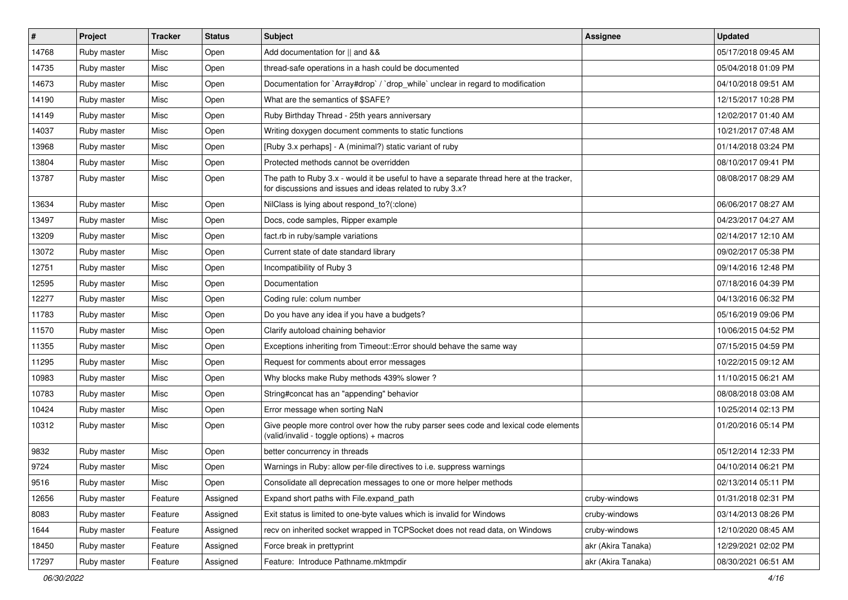| #     | Project     | <b>Tracker</b> | <b>Status</b> | <b>Subject</b>                                                                                                                                        | <b>Assignee</b>    | <b>Updated</b>      |
|-------|-------------|----------------|---------------|-------------------------------------------------------------------------------------------------------------------------------------------------------|--------------------|---------------------|
| 14768 | Ruby master | Misc           | Open          | Add documentation for    and &&                                                                                                                       |                    | 05/17/2018 09:45 AM |
| 14735 | Ruby master | Misc           | Open          | thread-safe operations in a hash could be documented                                                                                                  |                    | 05/04/2018 01:09 PM |
| 14673 | Ruby master | Misc           | Open          | Documentation for `Array#drop` / `drop_while` unclear in regard to modification                                                                       |                    | 04/10/2018 09:51 AM |
| 14190 | Ruby master | Misc           | Open          | What are the semantics of \$SAFE?                                                                                                                     |                    | 12/15/2017 10:28 PM |
| 14149 | Ruby master | Misc           | Open          | Ruby Birthday Thread - 25th years anniversary                                                                                                         |                    | 12/02/2017 01:40 AM |
| 14037 | Ruby master | Misc           | Open          | Writing doxygen document comments to static functions                                                                                                 |                    | 10/21/2017 07:48 AM |
| 13968 | Ruby master | Misc           | Open          | [Ruby 3.x perhaps] - A (minimal?) static variant of ruby                                                                                              |                    | 01/14/2018 03:24 PM |
| 13804 | Ruby master | Misc           | Open          | Protected methods cannot be overridden                                                                                                                |                    | 08/10/2017 09:41 PM |
| 13787 | Ruby master | Misc           | Open          | The path to Ruby 3.x - would it be useful to have a separate thread here at the tracker,<br>for discussions and issues and ideas related to ruby 3.x? |                    | 08/08/2017 08:29 AM |
| 13634 | Ruby master | Misc           | Open          | NilClass is lying about respond_to?(:clone)                                                                                                           |                    | 06/06/2017 08:27 AM |
| 13497 | Ruby master | Misc           | Open          | Docs, code samples, Ripper example                                                                                                                    |                    | 04/23/2017 04:27 AM |
| 13209 | Ruby master | Misc           | Open          | fact.rb in ruby/sample variations                                                                                                                     |                    | 02/14/2017 12:10 AM |
| 13072 | Ruby master | Misc           | Open          | Current state of date standard library                                                                                                                |                    | 09/02/2017 05:38 PM |
| 12751 | Ruby master | Misc           | Open          | Incompatibility of Ruby 3                                                                                                                             |                    | 09/14/2016 12:48 PM |
| 12595 | Ruby master | Misc           | Open          | Documentation                                                                                                                                         |                    | 07/18/2016 04:39 PM |
| 12277 | Ruby master | Misc           | Open          | Coding rule: colum number                                                                                                                             |                    | 04/13/2016 06:32 PM |
| 11783 | Ruby master | Misc           | Open          | Do you have any idea if you have a budgets?                                                                                                           |                    | 05/16/2019 09:06 PM |
| 11570 | Ruby master | Misc           | Open          | Clarify autoload chaining behavior                                                                                                                    |                    | 10/06/2015 04:52 PM |
| 11355 | Ruby master | Misc           | Open          | Exceptions inheriting from Timeout:: Error should behave the same way                                                                                 |                    | 07/15/2015 04:59 PM |
| 11295 | Ruby master | Misc           | Open          | Request for comments about error messages                                                                                                             |                    | 10/22/2015 09:12 AM |
| 10983 | Ruby master | Misc           | Open          | Why blocks make Ruby methods 439% slower?                                                                                                             |                    | 11/10/2015 06:21 AM |
| 10783 | Ruby master | Misc           | Open          | String#concat has an "appending" behavior                                                                                                             |                    | 08/08/2018 03:08 AM |
| 10424 | Ruby master | Misc           | Open          | Error message when sorting NaN                                                                                                                        |                    | 10/25/2014 02:13 PM |
| 10312 | Ruby master | Misc           | Open          | Give people more control over how the ruby parser sees code and lexical code elements<br>(valid/invalid - toggle options) + macros                    |                    | 01/20/2016 05:14 PM |
| 9832  | Ruby master | Misc           | Open          | better concurrency in threads                                                                                                                         |                    | 05/12/2014 12:33 PM |
| 9724  | Ruby master | Misc           | Open          | Warnings in Ruby: allow per-file directives to i.e. suppress warnings                                                                                 |                    | 04/10/2014 06:21 PM |
| 9516  | Ruby master | Misc           | Open          | Consolidate all deprecation messages to one or more helper methods                                                                                    |                    | 02/13/2014 05:11 PM |
| 12656 | Ruby master | Feature        | Assigned      | Expand short paths with File.expand_path                                                                                                              | cruby-windows      | 01/31/2018 02:31 PM |
| 8083  | Ruby master | Feature        | Assigned      | Exit status is limited to one-byte values which is invalid for Windows                                                                                | cruby-windows      | 03/14/2013 08:26 PM |
| 1644  | Ruby master | Feature        | Assigned      | recv on inherited socket wrapped in TCPSocket does not read data, on Windows                                                                          | cruby-windows      | 12/10/2020 08:45 AM |
| 18450 | Ruby master | Feature        | Assigned      | Force break in prettyprint                                                                                                                            | akr (Akira Tanaka) | 12/29/2021 02:02 PM |
| 17297 | Ruby master | Feature        | Assigned      | Feature: Introduce Pathname.mktmpdir                                                                                                                  | akr (Akira Tanaka) | 08/30/2021 06:51 AM |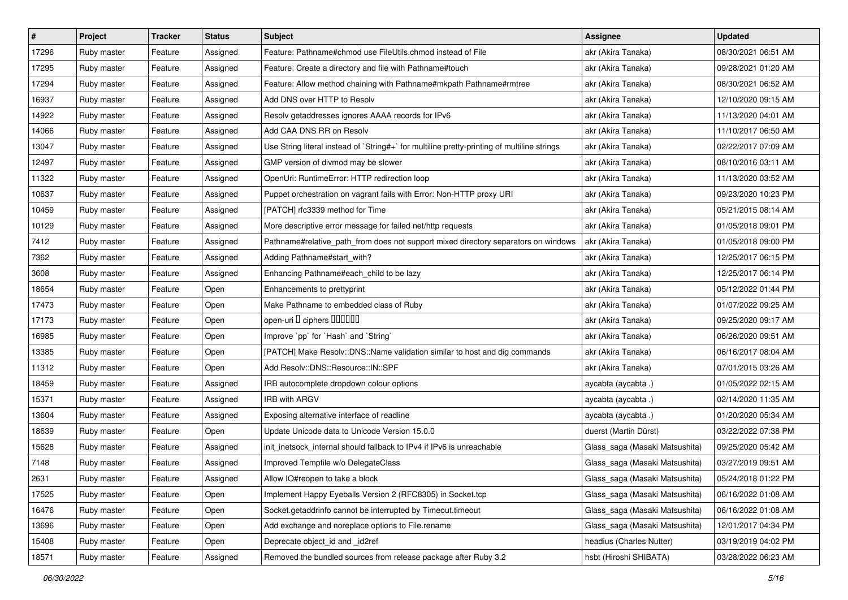| $\vert$ # | Project     | <b>Tracker</b> | <b>Status</b> | <b>Subject</b>                                                                              | Assignee                       | <b>Updated</b>      |
|-----------|-------------|----------------|---------------|---------------------------------------------------------------------------------------------|--------------------------------|---------------------|
| 17296     | Ruby master | Feature        | Assigned      | Feature: Pathname#chmod use FileUtils.chmod instead of File                                 | akr (Akira Tanaka)             | 08/30/2021 06:51 AM |
| 17295     | Ruby master | Feature        | Assigned      | Feature: Create a directory and file with Pathname#touch                                    | akr (Akira Tanaka)             | 09/28/2021 01:20 AM |
| 17294     | Ruby master | Feature        | Assigned      | Feature: Allow method chaining with Pathname#mkpath Pathname#rmtree                         | akr (Akira Tanaka)             | 08/30/2021 06:52 AM |
| 16937     | Ruby master | Feature        | Assigned      | Add DNS over HTTP to Resolv                                                                 | akr (Akira Tanaka)             | 12/10/2020 09:15 AM |
| 14922     | Ruby master | Feature        | Assigned      | Resolv getaddresses ignores AAAA records for IPv6                                           | akr (Akira Tanaka)             | 11/13/2020 04:01 AM |
| 14066     | Ruby master | Feature        | Assigned      | Add CAA DNS RR on Resolv                                                                    | akr (Akira Tanaka)             | 11/10/2017 06:50 AM |
| 13047     | Ruby master | Feature        | Assigned      | Use String literal instead of `String#+` for multiline pretty-printing of multiline strings | akr (Akira Tanaka)             | 02/22/2017 07:09 AM |
| 12497     | Ruby master | Feature        | Assigned      | GMP version of divmod may be slower                                                         | akr (Akira Tanaka)             | 08/10/2016 03:11 AM |
| 11322     | Ruby master | Feature        | Assigned      | OpenUri: RuntimeError: HTTP redirection loop                                                | akr (Akira Tanaka)             | 11/13/2020 03:52 AM |
| 10637     | Ruby master | Feature        | Assigned      | Puppet orchestration on vagrant fails with Error: Non-HTTP proxy URI                        | akr (Akira Tanaka)             | 09/23/2020 10:23 PM |
| 10459     | Ruby master | Feature        | Assigned      | [PATCH] rfc3339 method for Time                                                             | akr (Akira Tanaka)             | 05/21/2015 08:14 AM |
| 10129     | Ruby master | Feature        | Assigned      | More descriptive error message for failed net/http requests                                 | akr (Akira Tanaka)             | 01/05/2018 09:01 PM |
| 7412      | Ruby master | Feature        | Assigned      | Pathname#relative_path_from does not support mixed directory separators on windows          | akr (Akira Tanaka)             | 01/05/2018 09:00 PM |
| 7362      | Ruby master | Feature        | Assigned      | Adding Pathname#start_with?                                                                 | akr (Akira Tanaka)             | 12/25/2017 06:15 PM |
| 3608      | Ruby master | Feature        | Assigned      | Enhancing Pathname#each_child to be lazy                                                    | akr (Akira Tanaka)             | 12/25/2017 06:14 PM |
| 18654     | Ruby master | Feature        | Open          | Enhancements to prettyprint                                                                 | akr (Akira Tanaka)             | 05/12/2022 01:44 PM |
| 17473     | Ruby master | Feature        | Open          | Make Pathname to embedded class of Ruby                                                     | akr (Akira Tanaka)             | 01/07/2022 09:25 AM |
| 17173     | Ruby master | Feature        | Open          | open-uri D ciphers DODODO                                                                   | akr (Akira Tanaka)             | 09/25/2020 09:17 AM |
| 16985     | Ruby master | Feature        | Open          | Improve `pp` for `Hash` and `String`                                                        | akr (Akira Tanaka)             | 06/26/2020 09:51 AM |
| 13385     | Ruby master | Feature        | Open          | [PATCH] Make Resolv::DNS::Name validation similar to host and dig commands                  | akr (Akira Tanaka)             | 06/16/2017 08:04 AM |
| 11312     | Ruby master | Feature        | Open          | Add Resolv::DNS::Resource::IN::SPF                                                          | akr (Akira Tanaka)             | 07/01/2015 03:26 AM |
| 18459     | Ruby master | Feature        | Assigned      | IRB autocomplete dropdown colour options                                                    | aycabta (aycabta.)             | 01/05/2022 02:15 AM |
| 15371     | Ruby master | Feature        | Assigned      | <b>IRB with ARGV</b>                                                                        | aycabta (aycabta.)             | 02/14/2020 11:35 AM |
| 13604     | Ruby master | Feature        | Assigned      | Exposing alternative interface of readline                                                  | aycabta (aycabta.)             | 01/20/2020 05:34 AM |
| 18639     | Ruby master | Feature        | Open          | Update Unicode data to Unicode Version 15.0.0                                               | duerst (Martin Dürst)          | 03/22/2022 07:38 PM |
| 15628     | Ruby master | Feature        | Assigned      | init_inetsock_internal should fallback to IPv4 if IPv6 is unreachable                       | Glass_saga (Masaki Matsushita) | 09/25/2020 05:42 AM |
| 7148      | Ruby master | Feature        | Assigned      | Improved Tempfile w/o DelegateClass                                                         | Glass_saga (Masaki Matsushita) | 03/27/2019 09:51 AM |
| 2631      | Ruby master | Feature        | Assigned      | Allow IO#reopen to take a block                                                             | Glass_saga (Masaki Matsushita) | 05/24/2018 01:22 PM |
| 17525     | Ruby master | Feature        | Open          | Implement Happy Eyeballs Version 2 (RFC8305) in Socket.tcp                                  | Glass saga (Masaki Matsushita) | 06/16/2022 01:08 AM |
| 16476     | Ruby master | Feature        | Open          | Socket.getaddrinfo cannot be interrupted by Timeout.timeout                                 | Glass_saga (Masaki Matsushita) | 06/16/2022 01:08 AM |
| 13696     | Ruby master | Feature        | Open          | Add exchange and noreplace options to File.rename                                           | Glass_saga (Masaki Matsushita) | 12/01/2017 04:34 PM |
| 15408     | Ruby master | Feature        | Open          | Deprecate object id and id2ref                                                              | headius (Charles Nutter)       | 03/19/2019 04:02 PM |
| 18571     | Ruby master | Feature        | Assigned      | Removed the bundled sources from release package after Ruby 3.2                             | hsbt (Hiroshi SHIBATA)         | 03/28/2022 06:23 AM |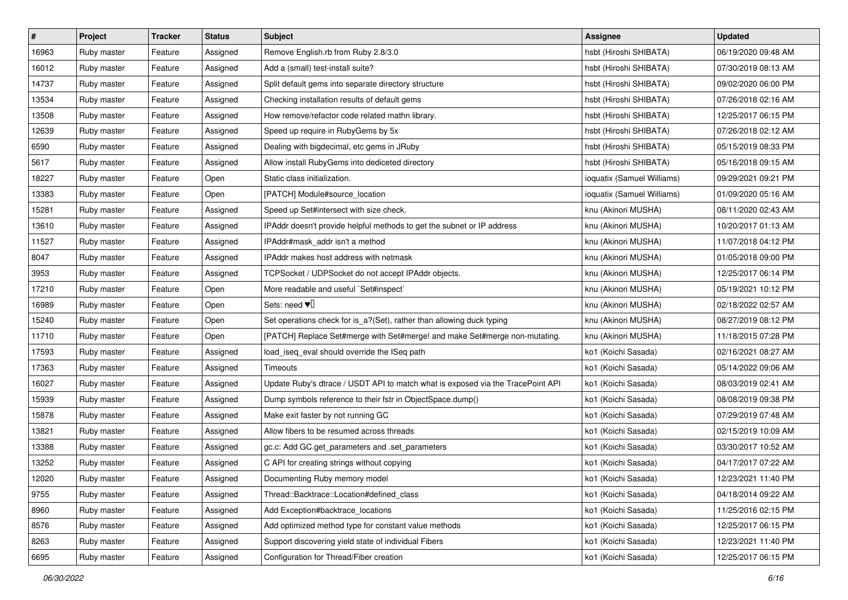| $\vert$ # | Project     | <b>Tracker</b> | <b>Status</b> | <b>Subject</b>                                                                  | Assignee                   | <b>Updated</b>      |
|-----------|-------------|----------------|---------------|---------------------------------------------------------------------------------|----------------------------|---------------------|
| 16963     | Ruby master | Feature        | Assigned      | Remove English.rb from Ruby 2.8/3.0                                             | hsbt (Hiroshi SHIBATA)     | 06/19/2020 09:48 AM |
| 16012     | Ruby master | Feature        | Assigned      | Add a (small) test-install suite?                                               | hsbt (Hiroshi SHIBATA)     | 07/30/2019 08:13 AM |
| 14737     | Ruby master | Feature        | Assigned      | Split default gems into separate directory structure                            | hsbt (Hiroshi SHIBATA)     | 09/02/2020 06:00 PM |
| 13534     | Ruby master | Feature        | Assigned      | Checking installation results of default gems                                   | hsbt (Hiroshi SHIBATA)     | 07/26/2018 02:16 AM |
| 13508     | Ruby master | Feature        | Assigned      | How remove/refactor code related mathn library.                                 | hsbt (Hiroshi SHIBATA)     | 12/25/2017 06:15 PM |
| 12639     | Ruby master | Feature        | Assigned      | Speed up require in RubyGems by 5x                                              | hsbt (Hiroshi SHIBATA)     | 07/26/2018 02:12 AM |
| 6590      | Ruby master | Feature        | Assigned      | Dealing with bigdecimal, etc gems in JRuby                                      | hsbt (Hiroshi SHIBATA)     | 05/15/2019 08:33 PM |
| 5617      | Ruby master | Feature        | Assigned      | Allow install RubyGems into dediceted directory                                 | hsbt (Hiroshi SHIBATA)     | 05/16/2018 09:15 AM |
| 18227     | Ruby master | Feature        | Open          | Static class initialization.                                                    | ioquatix (Samuel Williams) | 09/29/2021 09:21 PM |
| 13383     | Ruby master | Feature        | Open          | [PATCH] Module#source_location                                                  | ioquatix (Samuel Williams) | 01/09/2020 05:16 AM |
| 15281     | Ruby master | Feature        | Assigned      | Speed up Set#intersect with size check.                                         | knu (Akinori MUSHA)        | 08/11/2020 02:43 AM |
| 13610     | Ruby master | Feature        | Assigned      | IPAddr doesn't provide helpful methods to get the subnet or IP address          | knu (Akinori MUSHA)        | 10/20/2017 01:13 AM |
| 11527     | Ruby master | Feature        | Assigned      | IPAddr#mask_addr isn't a method                                                 | knu (Akinori MUSHA)        | 11/07/2018 04:12 PM |
| 8047      | Ruby master | Feature        | Assigned      | IPAddr makes host address with netmask                                          | knu (Akinori MUSHA)        | 01/05/2018 09:00 PM |
| 3953      | Ruby master | Feature        | Assigned      | TCPSocket / UDPSocket do not accept IPAddr objects.                             | knu (Akinori MUSHA)        | 12/25/2017 06:14 PM |
| 17210     | Ruby master | Feature        | Open          | More readable and useful `Set#inspect`                                          | knu (Akinori MUSHA)        | 05/19/2021 10:12 PM |
| 16989     | Ruby master | Feature        | Open          | Sets: need $\Psi$                                                               | knu (Akinori MUSHA)        | 02/18/2022 02:57 AM |
| 15240     | Ruby master | Feature        | Open          | Set operations check for is_a?(Set), rather than allowing duck typing           | knu (Akinori MUSHA)        | 08/27/2019 08:12 PM |
| 11710     | Ruby master | Feature        | Open          | [PATCH] Replace Set#merge with Set#merge! and make Set#merge non-mutating.      | knu (Akinori MUSHA)        | 11/18/2015 07:28 PM |
| 17593     | Ruby master | Feature        | Assigned      | load_iseq_eval should override the ISeq path                                    | ko1 (Koichi Sasada)        | 02/16/2021 08:27 AM |
| 17363     | Ruby master | Feature        | Assigned      | Timeouts                                                                        | ko1 (Koichi Sasada)        | 05/14/2022 09:06 AM |
| 16027     | Ruby master | Feature        | Assigned      | Update Ruby's dtrace / USDT API to match what is exposed via the TracePoint API | ko1 (Koichi Sasada)        | 08/03/2019 02:41 AM |
| 15939     | Ruby master | Feature        | Assigned      | Dump symbols reference to their fstr in ObjectSpace.dump()                      | ko1 (Koichi Sasada)        | 08/08/2019 09:38 PM |
| 15878     | Ruby master | Feature        | Assigned      | Make exit faster by not running GC                                              | ko1 (Koichi Sasada)        | 07/29/2019 07:48 AM |
| 13821     | Ruby master | Feature        | Assigned      | Allow fibers to be resumed across threads                                       | ko1 (Koichi Sasada)        | 02/15/2019 10:09 AM |
| 13388     | Ruby master | Feature        | Assigned      | gc.c: Add GC.get_parameters and .set_parameters                                 | ko1 (Koichi Sasada)        | 03/30/2017 10:52 AM |
| 13252     | Ruby master | Feature        | Assigned      | C API for creating strings without copying                                      | ko1 (Koichi Sasada)        | 04/17/2017 07:22 AM |
| 12020     | Ruby master | Feature        | Assigned      | Documenting Ruby memory model                                                   | ko1 (Koichi Sasada)        | 12/23/2021 11:40 PM |
| 9755      | Ruby master | Feature        | Assigned      | Thread::Backtrace::Location#defined class                                       | ko1 (Koichi Sasada)        | 04/18/2014 09:22 AM |
| 8960      | Ruby master | Feature        | Assigned      | Add Exception#backtrace_locations                                               | ko1 (Koichi Sasada)        | 11/25/2016 02:15 PM |
| 8576      | Ruby master | Feature        | Assigned      | Add optimized method type for constant value methods                            | ko1 (Koichi Sasada)        | 12/25/2017 06:15 PM |
| 8263      | Ruby master | Feature        | Assigned      | Support discovering yield state of individual Fibers                            | ko1 (Koichi Sasada)        | 12/23/2021 11:40 PM |
| 6695      | Ruby master | Feature        | Assigned      | Configuration for Thread/Fiber creation                                         | ko1 (Koichi Sasada)        | 12/25/2017 06:15 PM |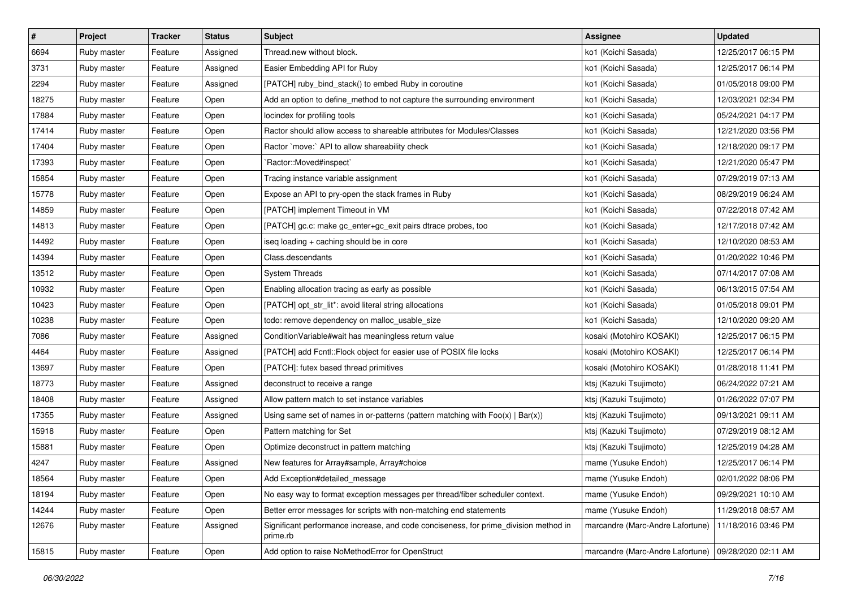| $\vert$ # | Project     | <b>Tracker</b> | <b>Status</b> | <b>Subject</b>                                                                                   | <b>Assignee</b>                                        | <b>Updated</b>      |
|-----------|-------------|----------------|---------------|--------------------------------------------------------------------------------------------------|--------------------------------------------------------|---------------------|
| 6694      | Ruby master | Feature        | Assigned      | Thread.new without block.                                                                        | ko1 (Koichi Sasada)                                    | 12/25/2017 06:15 PM |
| 3731      | Ruby master | Feature        | Assigned      | Easier Embedding API for Ruby                                                                    | ko1 (Koichi Sasada)                                    | 12/25/2017 06:14 PM |
| 2294      | Ruby master | Feature        | Assigned      | [PATCH] ruby_bind_stack() to embed Ruby in coroutine                                             | ko1 (Koichi Sasada)                                    | 01/05/2018 09:00 PM |
| 18275     | Ruby master | Feature        | Open          | Add an option to define_method to not capture the surrounding environment                        | ko1 (Koichi Sasada)                                    | 12/03/2021 02:34 PM |
| 17884     | Ruby master | Feature        | Open          | locindex for profiling tools                                                                     | ko1 (Koichi Sasada)                                    | 05/24/2021 04:17 PM |
| 17414     | Ruby master | Feature        | Open          | Ractor should allow access to shareable attributes for Modules/Classes                           | ko1 (Koichi Sasada)                                    | 12/21/2020 03:56 PM |
| 17404     | Ruby master | Feature        | Open          | Ractor `move:` API to allow shareability check                                                   | ko1 (Koichi Sasada)                                    | 12/18/2020 09:17 PM |
| 17393     | Ruby master | Feature        | Open          | `Ractor::Moved#inspect`                                                                          | ko1 (Koichi Sasada)                                    | 12/21/2020 05:47 PM |
| 15854     | Ruby master | Feature        | Open          | Tracing instance variable assignment                                                             | ko1 (Koichi Sasada)                                    | 07/29/2019 07:13 AM |
| 15778     | Ruby master | Feature        | Open          | Expose an API to pry-open the stack frames in Ruby                                               | ko1 (Koichi Sasada)                                    | 08/29/2019 06:24 AM |
| 14859     | Ruby master | Feature        | Open          | [PATCH] implement Timeout in VM                                                                  | ko1 (Koichi Sasada)                                    | 07/22/2018 07:42 AM |
| 14813     | Ruby master | Feature        | Open          | [PATCH] gc.c: make gc_enter+gc_exit pairs dtrace probes, too                                     | ko1 (Koichi Sasada)                                    | 12/17/2018 07:42 AM |
| 14492     | Ruby master | Feature        | Open          | iseq loading + caching should be in core                                                         | ko1 (Koichi Sasada)                                    | 12/10/2020 08:53 AM |
| 14394     | Ruby master | Feature        | Open          | Class.descendants                                                                                | ko1 (Koichi Sasada)                                    | 01/20/2022 10:46 PM |
| 13512     | Ruby master | Feature        | Open          | <b>System Threads</b>                                                                            | ko1 (Koichi Sasada)                                    | 07/14/2017 07:08 AM |
| 10932     | Ruby master | Feature        | Open          | Enabling allocation tracing as early as possible                                                 | ko1 (Koichi Sasada)                                    | 06/13/2015 07:54 AM |
| 10423     | Ruby master | Feature        | Open          | [PATCH] opt_str_lit*: avoid literal string allocations                                           | ko1 (Koichi Sasada)                                    | 01/05/2018 09:01 PM |
| 10238     | Ruby master | Feature        | Open          | todo: remove dependency on malloc_usable_size                                                    | ko1 (Koichi Sasada)                                    | 12/10/2020 09:20 AM |
| 7086      | Ruby master | Feature        | Assigned      | ConditionVariable#wait has meaningless return value                                              | kosaki (Motohiro KOSAKI)                               | 12/25/2017 06:15 PM |
| 4464      | Ruby master | Feature        | Assigned      | [PATCH] add Fcntl::Flock object for easier use of POSIX file locks                               | kosaki (Motohiro KOSAKI)                               | 12/25/2017 06:14 PM |
| 13697     | Ruby master | Feature        | Open          | [PATCH]: futex based thread primitives                                                           | kosaki (Motohiro KOSAKI)                               | 01/28/2018 11:41 PM |
| 18773     | Ruby master | Feature        | Assigned      | deconstruct to receive a range                                                                   | ktsj (Kazuki Tsujimoto)                                | 06/24/2022 07:21 AM |
| 18408     | Ruby master | Feature        | Assigned      | Allow pattern match to set instance variables                                                    | ktsj (Kazuki Tsujimoto)                                | 01/26/2022 07:07 PM |
| 17355     | Ruby master | Feature        | Assigned      | Using same set of names in or-patterns (pattern matching with $Foo(x)   Bar(x)$ )                | ktsj (Kazuki Tsujimoto)                                | 09/13/2021 09:11 AM |
| 15918     | Ruby master | Feature        | Open          | Pattern matching for Set                                                                         | ktsj (Kazuki Tsujimoto)                                | 07/29/2019 08:12 AM |
| 15881     | Ruby master | Feature        | Open          | Optimize deconstruct in pattern matching                                                         | ktsj (Kazuki Tsujimoto)                                | 12/25/2019 04:28 AM |
| 4247      | Ruby master | Feature        | Assigned      | New features for Array#sample, Array#choice                                                      | mame (Yusuke Endoh)                                    | 12/25/2017 06:14 PM |
| 18564     | Ruby master | Feature        | Open          | Add Exception#detailed_message                                                                   | mame (Yusuke Endoh)                                    | 02/01/2022 08:06 PM |
| 18194     | Ruby master | Feature        | Open          | No easy way to format exception messages per thread/fiber scheduler context.                     | mame (Yusuke Endoh)                                    | 09/29/2021 10:10 AM |
| 14244     | Ruby master | Feature        | Open          | Better error messages for scripts with non-matching end statements                               | mame (Yusuke Endoh)                                    | 11/29/2018 08:57 AM |
| 12676     | Ruby master | Feature        | Assigned      | Significant performance increase, and code conciseness, for prime_division method in<br>prime.rb | marcandre (Marc-Andre Lafortune)                       | 11/18/2016 03:46 PM |
| 15815     | Ruby master | Feature        | Open          | Add option to raise NoMethodError for OpenStruct                                                 | marcandre (Marc-Andre Lafortune)   09/28/2020 02:11 AM |                     |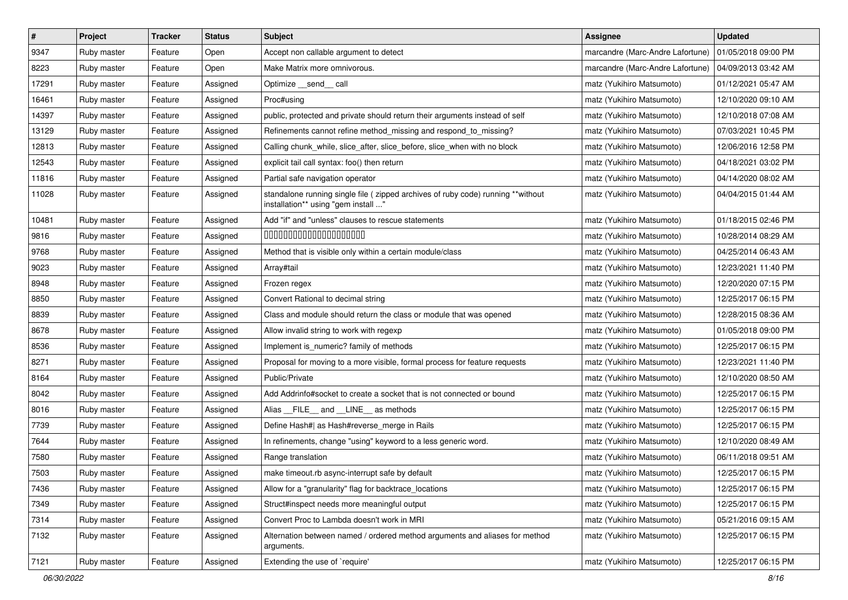| $\vert$ # | Project     | <b>Tracker</b> | <b>Status</b> | Subject                                                                                                                 | <b>Assignee</b>                  | <b>Updated</b>      |
|-----------|-------------|----------------|---------------|-------------------------------------------------------------------------------------------------------------------------|----------------------------------|---------------------|
| 9347      | Ruby master | Feature        | Open          | Accept non callable argument to detect                                                                                  | marcandre (Marc-Andre Lafortune) | 01/05/2018 09:00 PM |
| 8223      | Ruby master | Feature        | Open          | Make Matrix more omnivorous.                                                                                            | marcandre (Marc-Andre Lafortune) | 04/09/2013 03:42 AM |
| 17291     | Ruby master | Feature        | Assigned      | Optimize __send__ call                                                                                                  | matz (Yukihiro Matsumoto)        | 01/12/2021 05:47 AM |
| 16461     | Ruby master | Feature        | Assigned      | Proc#using                                                                                                              | matz (Yukihiro Matsumoto)        | 12/10/2020 09:10 AM |
| 14397     | Ruby master | Feature        | Assigned      | public, protected and private should return their arguments instead of self                                             | matz (Yukihiro Matsumoto)        | 12/10/2018 07:08 AM |
| 13129     | Ruby master | Feature        | Assigned      | Refinements cannot refine method_missing and respond_to_missing?                                                        | matz (Yukihiro Matsumoto)        | 07/03/2021 10:45 PM |
| 12813     | Ruby master | Feature        | Assigned      | Calling chunk_while, slice_after, slice_before, slice_when with no block                                                | matz (Yukihiro Matsumoto)        | 12/06/2016 12:58 PM |
| 12543     | Ruby master | Feature        | Assigned      | explicit tail call syntax: foo() then return                                                                            | matz (Yukihiro Matsumoto)        | 04/18/2021 03:02 PM |
| 11816     | Ruby master | Feature        | Assigned      | Partial safe navigation operator                                                                                        | matz (Yukihiro Matsumoto)        | 04/14/2020 08:02 AM |
| 11028     | Ruby master | Feature        | Assigned      | standalone running single file ( zipped archives of ruby code) running **without<br>installation** using "gem install " | matz (Yukihiro Matsumoto)        | 04/04/2015 01:44 AM |
| 10481     | Ruby master | Feature        | Assigned      | Add "if" and "unless" clauses to rescue statements                                                                      | matz (Yukihiro Matsumoto)        | 01/18/2015 02:46 PM |
| 9816      | Ruby master | Feature        | Assigned      | 00000000000000000000                                                                                                    | matz (Yukihiro Matsumoto)        | 10/28/2014 08:29 AM |
| 9768      | Ruby master | Feature        | Assigned      | Method that is visible only within a certain module/class                                                               | matz (Yukihiro Matsumoto)        | 04/25/2014 06:43 AM |
| 9023      | Ruby master | Feature        | Assigned      | Array#tail                                                                                                              | matz (Yukihiro Matsumoto)        | 12/23/2021 11:40 PM |
| 8948      | Ruby master | Feature        | Assigned      | Frozen regex                                                                                                            | matz (Yukihiro Matsumoto)        | 12/20/2020 07:15 PM |
| 8850      | Ruby master | Feature        | Assigned      | Convert Rational to decimal string                                                                                      | matz (Yukihiro Matsumoto)        | 12/25/2017 06:15 PM |
| 8839      | Ruby master | Feature        | Assigned      | Class and module should return the class or module that was opened                                                      | matz (Yukihiro Matsumoto)        | 12/28/2015 08:36 AM |
| 8678      | Ruby master | Feature        | Assigned      | Allow invalid string to work with regexp                                                                                | matz (Yukihiro Matsumoto)        | 01/05/2018 09:00 PM |
| 8536      | Ruby master | Feature        | Assigned      | Implement is_numeric? family of methods                                                                                 | matz (Yukihiro Matsumoto)        | 12/25/2017 06:15 PM |
| 8271      | Ruby master | Feature        | Assigned      | Proposal for moving to a more visible, formal process for feature requests                                              | matz (Yukihiro Matsumoto)        | 12/23/2021 11:40 PM |
| 8164      | Ruby master | Feature        | Assigned      | Public/Private                                                                                                          | matz (Yukihiro Matsumoto)        | 12/10/2020 08:50 AM |
| 8042      | Ruby master | Feature        | Assigned      | Add Addrinfo#socket to create a socket that is not connected or bound                                                   | matz (Yukihiro Matsumoto)        | 12/25/2017 06:15 PM |
| 8016      | Ruby master | Feature        | Assigned      | Alias FILE and LINE as methods                                                                                          | matz (Yukihiro Matsumoto)        | 12/25/2017 06:15 PM |
| 7739      | Ruby master | Feature        | Assigned      | Define Hash#  as Hash#reverse_merge in Rails                                                                            | matz (Yukihiro Matsumoto)        | 12/25/2017 06:15 PM |
| 7644      | Ruby master | Feature        | Assigned      | In refinements, change "using" keyword to a less generic word.                                                          | matz (Yukihiro Matsumoto)        | 12/10/2020 08:49 AM |
| 7580      | Ruby master | Feature        | Assigned      | Range translation                                                                                                       | matz (Yukihiro Matsumoto)        | 06/11/2018 09:51 AM |
| 7503      | Ruby master | Feature        | Assigned      | make timeout.rb async-interrupt safe by default                                                                         | matz (Yukihiro Matsumoto)        | 12/25/2017 06:15 PM |
| 7436      | Ruby master | Feature        | Assigned      | Allow for a "granularity" flag for backtrace_locations                                                                  | matz (Yukihiro Matsumoto)        | 12/25/2017 06:15 PM |
| 7349      | Ruby master | Feature        | Assigned      | Struct#inspect needs more meaningful output                                                                             | matz (Yukihiro Matsumoto)        | 12/25/2017 06:15 PM |
| 7314      | Ruby master | Feature        | Assigned      | Convert Proc to Lambda doesn't work in MRI                                                                              | matz (Yukihiro Matsumoto)        | 05/21/2016 09:15 AM |
| 7132      | Ruby master | Feature        | Assigned      | Alternation between named / ordered method arguments and aliases for method<br>arguments.                               | matz (Yukihiro Matsumoto)        | 12/25/2017 06:15 PM |
| 7121      | Ruby master | Feature        | Assigned      | Extending the use of `require'                                                                                          | matz (Yukihiro Matsumoto)        | 12/25/2017 06:15 PM |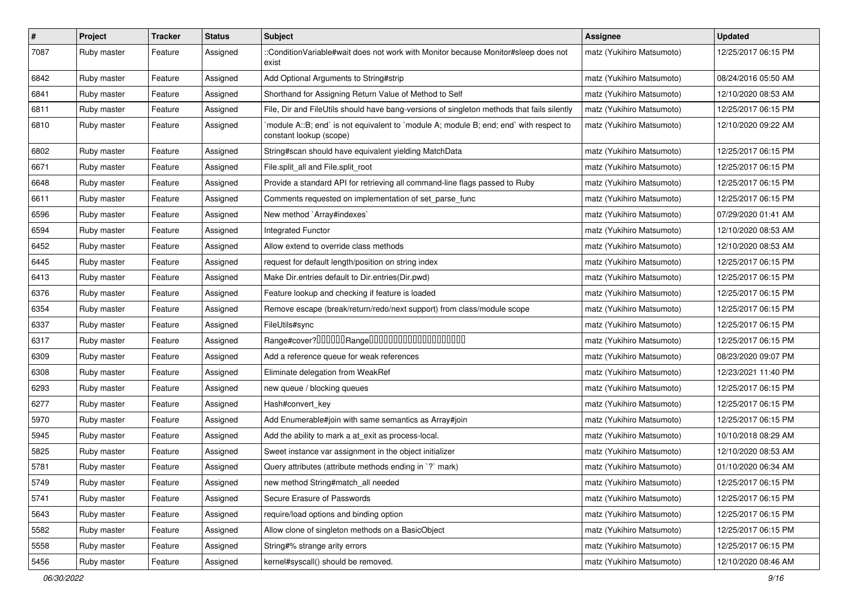| $\sharp$ | Project     | <b>Tracker</b> | <b>Status</b> | Subject                                                                                                          | Assignee                  | <b>Updated</b>      |
|----------|-------------|----------------|---------------|------------------------------------------------------------------------------------------------------------------|---------------------------|---------------------|
| 7087     | Ruby master | Feature        | Assigned      | ::ConditionVariable#wait does not work with Monitor because Monitor#sleep does not<br>exist                      | matz (Yukihiro Matsumoto) | 12/25/2017 06:15 PM |
| 6842     | Ruby master | Feature        | Assigned      | Add Optional Arguments to String#strip                                                                           | matz (Yukihiro Matsumoto) | 08/24/2016 05:50 AM |
| 6841     | Ruby master | Feature        | Assigned      | Shorthand for Assigning Return Value of Method to Self                                                           | matz (Yukihiro Matsumoto) | 12/10/2020 08:53 AM |
| 6811     | Ruby master | Feature        | Assigned      | File, Dir and FileUtils should have bang-versions of singleton methods that fails silently                       | matz (Yukihiro Matsumoto) | 12/25/2017 06:15 PM |
| 6810     | Ruby master | Feature        | Assigned      | module A::B; end` is not equivalent to `module A; module B; end; end` with respect to<br>constant lookup (scope) | matz (Yukihiro Matsumoto) | 12/10/2020 09:22 AM |
| 6802     | Ruby master | Feature        | Assigned      | String#scan should have equivalent yielding MatchData                                                            | matz (Yukihiro Matsumoto) | 12/25/2017 06:15 PM |
| 6671     | Ruby master | Feature        | Assigned      | File.split_all and File.split_root                                                                               | matz (Yukihiro Matsumoto) | 12/25/2017 06:15 PM |
| 6648     | Ruby master | Feature        | Assigned      | Provide a standard API for retrieving all command-line flags passed to Ruby                                      | matz (Yukihiro Matsumoto) | 12/25/2017 06:15 PM |
| 6611     | Ruby master | Feature        | Assigned      | Comments requested on implementation of set_parse_func                                                           | matz (Yukihiro Matsumoto) | 12/25/2017 06:15 PM |
| 6596     | Ruby master | Feature        | Assigned      | New method `Array#indexes`                                                                                       | matz (Yukihiro Matsumoto) | 07/29/2020 01:41 AM |
| 6594     | Ruby master | Feature        | Assigned      | <b>Integrated Functor</b>                                                                                        | matz (Yukihiro Matsumoto) | 12/10/2020 08:53 AM |
| 6452     | Ruby master | Feature        | Assigned      | Allow extend to override class methods                                                                           | matz (Yukihiro Matsumoto) | 12/10/2020 08:53 AM |
| 6445     | Ruby master | Feature        | Assigned      | request for default length/position on string index                                                              | matz (Yukihiro Matsumoto) | 12/25/2017 06:15 PM |
| 6413     | Ruby master | Feature        | Assigned      | Make Dir.entries default to Dir.entries(Dir.pwd)                                                                 | matz (Yukihiro Matsumoto) | 12/25/2017 06:15 PM |
| 6376     | Ruby master | Feature        | Assigned      | Feature lookup and checking if feature is loaded                                                                 | matz (Yukihiro Matsumoto) | 12/25/2017 06:15 PM |
| 6354     | Ruby master | Feature        | Assigned      | Remove escape (break/return/redo/next support) from class/module scope                                           | matz (Yukihiro Matsumoto) | 12/25/2017 06:15 PM |
| 6337     | Ruby master | Feature        | Assigned      | FileUtils#sync                                                                                                   | matz (Yukihiro Matsumoto) | 12/25/2017 06:15 PM |
| 6317     | Ruby master | Feature        | Assigned      | Range#cover?000000Range00000000000000000000                                                                      | matz (Yukihiro Matsumoto) | 12/25/2017 06:15 PM |
| 6309     | Ruby master | Feature        | Assigned      | Add a reference queue for weak references                                                                        | matz (Yukihiro Matsumoto) | 08/23/2020 09:07 PM |
| 6308     | Ruby master | Feature        | Assigned      | Eliminate delegation from WeakRef                                                                                | matz (Yukihiro Matsumoto) | 12/23/2021 11:40 PM |
| 6293     | Ruby master | Feature        | Assigned      | new queue / blocking queues                                                                                      | matz (Yukihiro Matsumoto) | 12/25/2017 06:15 PM |
| 6277     | Ruby master | Feature        | Assigned      | Hash#convert_key                                                                                                 | matz (Yukihiro Matsumoto) | 12/25/2017 06:15 PM |
| 5970     | Ruby master | Feature        | Assigned      | Add Enumerable#join with same semantics as Array#join                                                            | matz (Yukihiro Matsumoto) | 12/25/2017 06:15 PM |
| 5945     | Ruby master | Feature        | Assigned      | Add the ability to mark a at_exit as process-local.                                                              | matz (Yukihiro Matsumoto) | 10/10/2018 08:29 AM |
| 5825     | Ruby master | Feature        | Assigned      | Sweet instance var assignment in the object initializer                                                          | matz (Yukihiro Matsumoto) | 12/10/2020 08:53 AM |
| 5781     | Ruby master | Feature        | Assigned      | Query attributes (attribute methods ending in `?` mark)                                                          | matz (Yukihiro Matsumoto) | 01/10/2020 06:34 AM |
| 5749     | Ruby master | Feature        | Assigned      | new method String#match_all needed                                                                               | matz (Yukihiro Matsumoto) | 12/25/2017 06:15 PM |
| 5741     | Ruby master | Feature        | Assigned      | Secure Erasure of Passwords                                                                                      | matz (Yukihiro Matsumoto) | 12/25/2017 06:15 PM |
| 5643     | Ruby master | Feature        | Assigned      | require/load options and binding option                                                                          | matz (Yukihiro Matsumoto) | 12/25/2017 06:15 PM |
| 5582     | Ruby master | Feature        | Assigned      | Allow clone of singleton methods on a BasicObject                                                                | matz (Yukihiro Matsumoto) | 12/25/2017 06:15 PM |
| 5558     | Ruby master | Feature        | Assigned      | String#% strange arity errors                                                                                    | matz (Yukihiro Matsumoto) | 12/25/2017 06:15 PM |
| 5456     | Ruby master | Feature        | Assigned      | kernel#syscall() should be removed.                                                                              | matz (Yukihiro Matsumoto) | 12/10/2020 08:46 AM |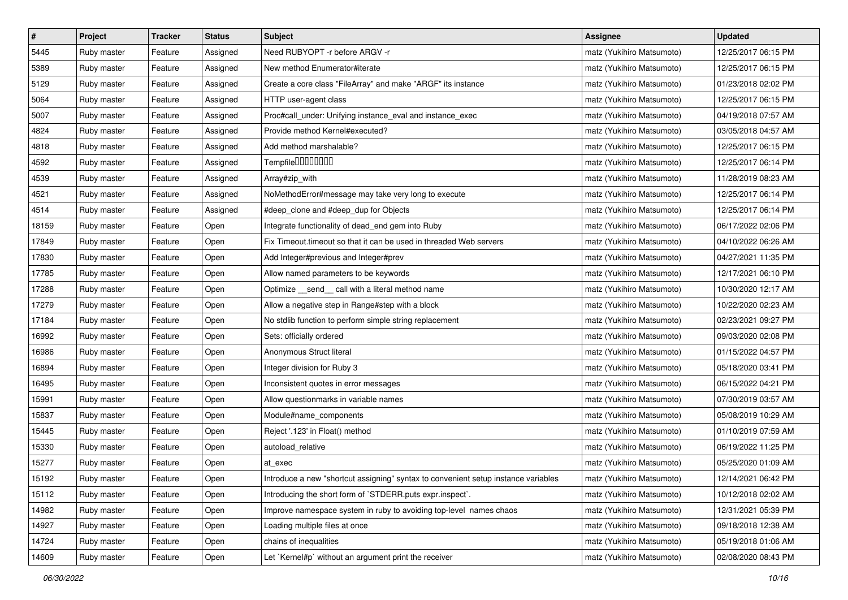| $\sharp$ | Project     | <b>Tracker</b> | <b>Status</b> | <b>Subject</b>                                                                     | <b>Assignee</b>           | <b>Updated</b>      |
|----------|-------------|----------------|---------------|------------------------------------------------------------------------------------|---------------------------|---------------------|
| 5445     | Ruby master | Feature        | Assigned      | Need RUBYOPT - r before ARGV - r                                                   | matz (Yukihiro Matsumoto) | 12/25/2017 06:15 PM |
| 5389     | Ruby master | Feature        | Assigned      | New method Enumerator#iterate                                                      | matz (Yukihiro Matsumoto) | 12/25/2017 06:15 PM |
| 5129     | Ruby master | Feature        | Assigned      | Create a core class "FileArray" and make "ARGF" its instance                       | matz (Yukihiro Matsumoto) | 01/23/2018 02:02 PM |
| 5064     | Ruby master | Feature        | Assigned      | HTTP user-agent class                                                              | matz (Yukihiro Matsumoto) | 12/25/2017 06:15 PM |
| 5007     | Ruby master | Feature        | Assigned      | Proc#call_under: Unifying instance_eval and instance_exec                          | matz (Yukihiro Matsumoto) | 04/19/2018 07:57 AM |
| 4824     | Ruby master | Feature        | Assigned      | Provide method Kernel#executed?                                                    | matz (Yukihiro Matsumoto) | 03/05/2018 04:57 AM |
| 4818     | Ruby master | Feature        | Assigned      | Add method marshalable?                                                            | matz (Yukihiro Matsumoto) | 12/25/2017 06:15 PM |
| 4592     | Ruby master | Feature        | Assigned      | Tempfile00000000                                                                   | matz (Yukihiro Matsumoto) | 12/25/2017 06:14 PM |
| 4539     | Ruby master | Feature        | Assigned      | Array#zip_with                                                                     | matz (Yukihiro Matsumoto) | 11/28/2019 08:23 AM |
| 4521     | Ruby master | Feature        | Assigned      | NoMethodError#message may take very long to execute                                | matz (Yukihiro Matsumoto) | 12/25/2017 06:14 PM |
| 4514     | Ruby master | Feature        | Assigned      | #deep_clone and #deep_dup for Objects                                              | matz (Yukihiro Matsumoto) | 12/25/2017 06:14 PM |
| 18159    | Ruby master | Feature        | Open          | Integrate functionality of dead_end gem into Ruby                                  | matz (Yukihiro Matsumoto) | 06/17/2022 02:06 PM |
| 17849    | Ruby master | Feature        | Open          | Fix Timeout timeout so that it can be used in threaded Web servers                 | matz (Yukihiro Matsumoto) | 04/10/2022 06:26 AM |
| 17830    | Ruby master | Feature        | Open          | Add Integer#previous and Integer#prev                                              | matz (Yukihiro Matsumoto) | 04/27/2021 11:35 PM |
| 17785    | Ruby master | Feature        | Open          | Allow named parameters to be keywords                                              | matz (Yukihiro Matsumoto) | 12/17/2021 06:10 PM |
| 17288    | Ruby master | Feature        | Open          | Optimize _send_call with a literal method name                                     | matz (Yukihiro Matsumoto) | 10/30/2020 12:17 AM |
| 17279    | Ruby master | Feature        | Open          | Allow a negative step in Range#step with a block                                   | matz (Yukihiro Matsumoto) | 10/22/2020 02:23 AM |
| 17184    | Ruby master | Feature        | Open          | No stdlib function to perform simple string replacement                            | matz (Yukihiro Matsumoto) | 02/23/2021 09:27 PM |
| 16992    | Ruby master | Feature        | Open          | Sets: officially ordered                                                           | matz (Yukihiro Matsumoto) | 09/03/2020 02:08 PM |
| 16986    | Ruby master | Feature        | Open          | Anonymous Struct literal                                                           | matz (Yukihiro Matsumoto) | 01/15/2022 04:57 PM |
| 16894    | Ruby master | Feature        | Open          | Integer division for Ruby 3                                                        | matz (Yukihiro Matsumoto) | 05/18/2020 03:41 PM |
| 16495    | Ruby master | Feature        | Open          | Inconsistent quotes in error messages                                              | matz (Yukihiro Matsumoto) | 06/15/2022 04:21 PM |
| 15991    | Ruby master | Feature        | Open          | Allow questionmarks in variable names                                              | matz (Yukihiro Matsumoto) | 07/30/2019 03:57 AM |
| 15837    | Ruby master | Feature        | Open          | Module#name_components                                                             | matz (Yukihiro Matsumoto) | 05/08/2019 10:29 AM |
| 15445    | Ruby master | Feature        | Open          | Reject '.123' in Float() method                                                    | matz (Yukihiro Matsumoto) | 01/10/2019 07:59 AM |
| 15330    | Ruby master | Feature        | Open          | autoload_relative                                                                  | matz (Yukihiro Matsumoto) | 06/19/2022 11:25 PM |
| 15277    | Ruby master | Feature        | Open          | at exec                                                                            | matz (Yukihiro Matsumoto) | 05/25/2020 01:09 AM |
| 15192    | Ruby master | Feature        | Open          | Introduce a new "shortcut assigning" syntax to convenient setup instance variables | matz (Yukihiro Matsumoto) | 12/14/2021 06:42 PM |
| 15112    | Ruby master | Feature        | Open          | Introducing the short form of `STDERR.puts expr.inspect`.                          | matz (Yukihiro Matsumoto) | 10/12/2018 02:02 AM |
| 14982    | Ruby master | Feature        | Open          | Improve namespace system in ruby to avoiding top-level names chaos                 | matz (Yukihiro Matsumoto) | 12/31/2021 05:39 PM |
| 14927    | Ruby master | Feature        | Open          | Loading multiple files at once                                                     | matz (Yukihiro Matsumoto) | 09/18/2018 12:38 AM |
| 14724    | Ruby master | Feature        | Open          | chains of inequalities                                                             | matz (Yukihiro Matsumoto) | 05/19/2018 01:06 AM |
| 14609    | Ruby master | Feature        | Open          | Let `Kernel#p` without an argument print the receiver                              | matz (Yukihiro Matsumoto) | 02/08/2020 08:43 PM |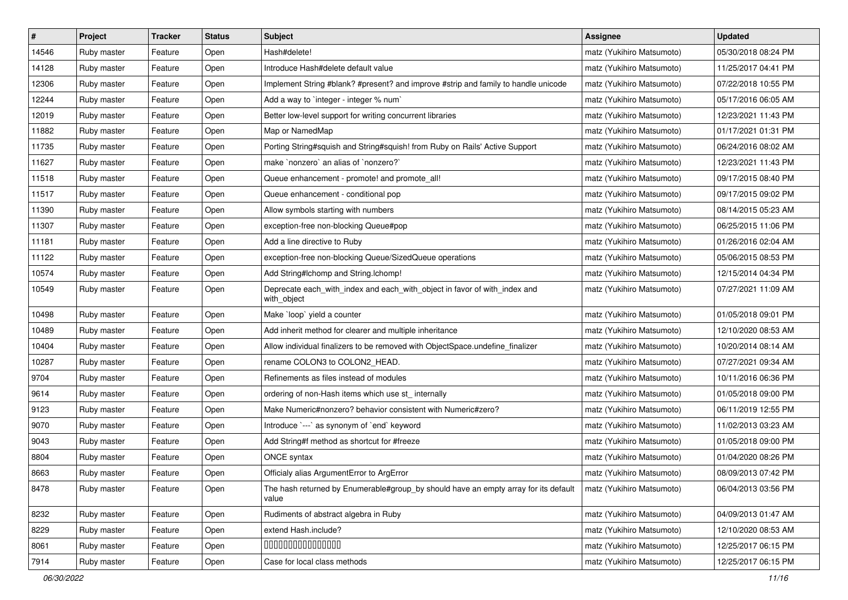| $\sharp$ | Project     | <b>Tracker</b> | <b>Status</b> | <b>Subject</b>                                                                               | <b>Assignee</b>           | <b>Updated</b>      |
|----------|-------------|----------------|---------------|----------------------------------------------------------------------------------------------|---------------------------|---------------------|
| 14546    | Ruby master | Feature        | Open          | Hash#delete!                                                                                 | matz (Yukihiro Matsumoto) | 05/30/2018 08:24 PM |
| 14128    | Ruby master | Feature        | Open          | Introduce Hash#delete default value                                                          | matz (Yukihiro Matsumoto) | 11/25/2017 04:41 PM |
| 12306    | Ruby master | Feature        | Open          | Implement String #blank? #present? and improve #strip and family to handle unicode           | matz (Yukihiro Matsumoto) | 07/22/2018 10:55 PM |
| 12244    | Ruby master | Feature        | Open          | Add a way to `integer - integer % num`                                                       | matz (Yukihiro Matsumoto) | 05/17/2016 06:05 AM |
| 12019    | Ruby master | Feature        | Open          | Better low-level support for writing concurrent libraries                                    | matz (Yukihiro Matsumoto) | 12/23/2021 11:43 PM |
| 11882    | Ruby master | Feature        | Open          | Map or NamedMap                                                                              | matz (Yukihiro Matsumoto) | 01/17/2021 01:31 PM |
| 11735    | Ruby master | Feature        | Open          | Porting String#squish and String#squish! from Ruby on Rails' Active Support                  | matz (Yukihiro Matsumoto) | 06/24/2016 08:02 AM |
| 11627    | Ruby master | Feature        | Open          | make `nonzero` an alias of `nonzero?`                                                        | matz (Yukihiro Matsumoto) | 12/23/2021 11:43 PM |
| 11518    | Ruby master | Feature        | Open          | Queue enhancement - promote! and promote_all!                                                | matz (Yukihiro Matsumoto) | 09/17/2015 08:40 PM |
| 11517    | Ruby master | Feature        | Open          | Queue enhancement - conditional pop                                                          | matz (Yukihiro Matsumoto) | 09/17/2015 09:02 PM |
| 11390    | Ruby master | Feature        | Open          | Allow symbols starting with numbers                                                          | matz (Yukihiro Matsumoto) | 08/14/2015 05:23 AM |
| 11307    | Ruby master | Feature        | Open          | exception-free non-blocking Queue#pop                                                        | matz (Yukihiro Matsumoto) | 06/25/2015 11:06 PM |
| 11181    | Ruby master | Feature        | Open          | Add a line directive to Ruby                                                                 | matz (Yukihiro Matsumoto) | 01/26/2016 02:04 AM |
| 11122    | Ruby master | Feature        | Open          | exception-free non-blocking Queue/SizedQueue operations                                      | matz (Yukihiro Matsumoto) | 05/06/2015 08:53 PM |
| 10574    | Ruby master | Feature        | Open          | Add String#Ichomp and String.Ichomp!                                                         | matz (Yukihiro Matsumoto) | 12/15/2014 04:34 PM |
| 10549    | Ruby master | Feature        | Open          | Deprecate each_with_index and each_with_object in favor of with_index and<br>with_object     | matz (Yukihiro Matsumoto) | 07/27/2021 11:09 AM |
| 10498    | Ruby master | Feature        | Open          | Make 'loop' yield a counter                                                                  | matz (Yukihiro Matsumoto) | 01/05/2018 09:01 PM |
| 10489    | Ruby master | Feature        | Open          | Add inherit method for clearer and multiple inheritance                                      | matz (Yukihiro Matsumoto) | 12/10/2020 08:53 AM |
| 10404    | Ruby master | Feature        | Open          | Allow individual finalizers to be removed with ObjectSpace.undefine_finalizer                | matz (Yukihiro Matsumoto) | 10/20/2014 08:14 AM |
| 10287    | Ruby master | Feature        | Open          | rename COLON3 to COLON2_HEAD.                                                                | matz (Yukihiro Matsumoto) | 07/27/2021 09:34 AM |
| 9704     | Ruby master | Feature        | Open          | Refinements as files instead of modules                                                      | matz (Yukihiro Matsumoto) | 10/11/2016 06:36 PM |
| 9614     | Ruby master | Feature        | Open          | ordering of non-Hash items which use st_ internally                                          | matz (Yukihiro Matsumoto) | 01/05/2018 09:00 PM |
| 9123     | Ruby master | Feature        | Open          | Make Numeric#nonzero? behavior consistent with Numeric#zero?                                 | matz (Yukihiro Matsumoto) | 06/11/2019 12:55 PM |
| 9070     | Ruby master | Feature        | Open          | Introduce `---` as synonym of `end` keyword                                                  | matz (Yukihiro Matsumoto) | 11/02/2013 03:23 AM |
| 9043     | Ruby master | Feature        | Open          | Add String#f method as shortcut for #freeze                                                  | matz (Yukihiro Matsumoto) | 01/05/2018 09:00 PM |
| 8804     | Ruby master | Feature        | Open          | ONCE syntax                                                                                  | matz (Yukihiro Matsumoto) | 01/04/2020 08:26 PM |
| 8663     | Ruby master | Feature        | Open          | Officialy alias ArgumentError to ArgError                                                    | matz (Yukihiro Matsumoto) | 08/09/2013 07:42 PM |
| 8478     | Ruby master | Feature        | Open          | The hash returned by Enumerable#group_by should have an empty array for its default<br>value | matz (Yukihiro Matsumoto) | 06/04/2013 03:56 PM |
| 8232     | Ruby master | Feature        | Open          | Rudiments of abstract algebra in Ruby                                                        | matz (Yukihiro Matsumoto) | 04/09/2013 01:47 AM |
| 8229     | Ruby master | Feature        | Open          | extend Hash.include?                                                                         | matz (Yukihiro Matsumoto) | 12/10/2020 08:53 AM |
| 8061     | Ruby master | Feature        | Open          | 000000000000000                                                                              | matz (Yukihiro Matsumoto) | 12/25/2017 06:15 PM |
| 7914     | Ruby master | Feature        | Open          | Case for local class methods                                                                 | matz (Yukihiro Matsumoto) | 12/25/2017 06:15 PM |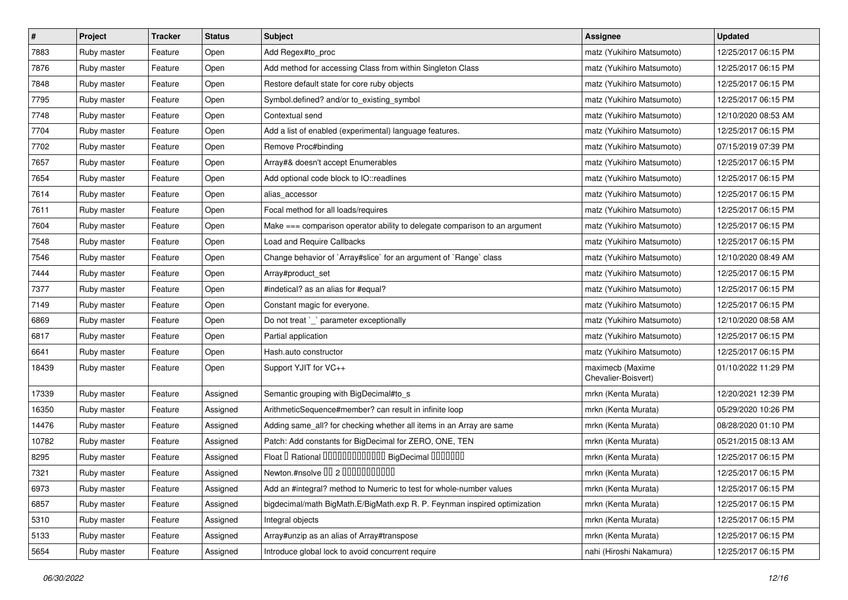| $\sharp$ | Project     | <b>Tracker</b> | <b>Status</b> | Subject                                                                    | <b>Assignee</b>                         | <b>Updated</b>      |
|----------|-------------|----------------|---------------|----------------------------------------------------------------------------|-----------------------------------------|---------------------|
| 7883     | Ruby master | Feature        | Open          | Add Regex#to_proc                                                          | matz (Yukihiro Matsumoto)               | 12/25/2017 06:15 PM |
| 7876     | Ruby master | Feature        | Open          | Add method for accessing Class from within Singleton Class                 | matz (Yukihiro Matsumoto)               | 12/25/2017 06:15 PM |
| 7848     | Ruby master | Feature        | Open          | Restore default state for core ruby objects                                | matz (Yukihiro Matsumoto)               | 12/25/2017 06:15 PM |
| 7795     | Ruby master | Feature        | Open          | Symbol.defined? and/or to_existing_symbol                                  | matz (Yukihiro Matsumoto)               | 12/25/2017 06:15 PM |
| 7748     | Ruby master | Feature        | Open          | Contextual send                                                            | matz (Yukihiro Matsumoto)               | 12/10/2020 08:53 AM |
| 7704     | Ruby master | Feature        | Open          | Add a list of enabled (experimental) language features.                    | matz (Yukihiro Matsumoto)               | 12/25/2017 06:15 PM |
| 7702     | Ruby master | Feature        | Open          | Remove Proc#binding                                                        | matz (Yukihiro Matsumoto)               | 07/15/2019 07:39 PM |
| 7657     | Ruby master | Feature        | Open          | Array#& doesn't accept Enumerables                                         | matz (Yukihiro Matsumoto)               | 12/25/2017 06:15 PM |
| 7654     | Ruby master | Feature        | Open          | Add optional code block to IO::readlines                                   | matz (Yukihiro Matsumoto)               | 12/25/2017 06:15 PM |
| 7614     | Ruby master | Feature        | Open          | alias_accessor                                                             | matz (Yukihiro Matsumoto)               | 12/25/2017 06:15 PM |
| 7611     | Ruby master | Feature        | Open          | Focal method for all loads/requires                                        | matz (Yukihiro Matsumoto)               | 12/25/2017 06:15 PM |
| 7604     | Ruby master | Feature        | Open          | Make === comparison operator ability to delegate comparison to an argument | matz (Yukihiro Matsumoto)               | 12/25/2017 06:15 PM |
| 7548     | Ruby master | Feature        | Open          | Load and Require Callbacks                                                 | matz (Yukihiro Matsumoto)               | 12/25/2017 06:15 PM |
| 7546     | Ruby master | Feature        | Open          | Change behavior of `Array#slice` for an argument of `Range` class          | matz (Yukihiro Matsumoto)               | 12/10/2020 08:49 AM |
| 7444     | Ruby master | Feature        | Open          | Array#product_set                                                          | matz (Yukihiro Matsumoto)               | 12/25/2017 06:15 PM |
| 7377     | Ruby master | Feature        | Open          | #indetical? as an alias for #equal?                                        | matz (Yukihiro Matsumoto)               | 12/25/2017 06:15 PM |
| 7149     | Ruby master | Feature        | Open          | Constant magic for everyone.                                               | matz (Yukihiro Matsumoto)               | 12/25/2017 06:15 PM |
| 6869     | Ruby master | Feature        | Open          | Do not treat `_` parameter exceptionally                                   | matz (Yukihiro Matsumoto)               | 12/10/2020 08:58 AM |
| 6817     | Ruby master | Feature        | Open          | Partial application                                                        | matz (Yukihiro Matsumoto)               | 12/25/2017 06:15 PM |
| 6641     | Ruby master | Feature        | Open          | Hash.auto constructor                                                      | matz (Yukihiro Matsumoto)               | 12/25/2017 06:15 PM |
| 18439    | Ruby master | Feature        | Open          | Support YJIT for VC++                                                      | maximecb (Maxime<br>Chevalier-Boisvert) | 01/10/2022 11:29 PM |
| 17339    | Ruby master | Feature        | Assigned      | Semantic grouping with BigDecimal#to_s                                     | mrkn (Kenta Murata)                     | 12/20/2021 12:39 PM |
| 16350    | Ruby master | Feature        | Assigned      | ArithmeticSequence#member? can result in infinite loop                     | mrkn (Kenta Murata)                     | 05/29/2020 10:26 PM |
| 14476    | Ruby master | Feature        | Assigned      | Adding same_all? for checking whether all items in an Array are same       | mrkn (Kenta Murata)                     | 08/28/2020 01:10 PM |
| 10782    | Ruby master | Feature        | Assigned      | Patch: Add constants for BigDecimal for ZERO, ONE, TEN                     | mrkn (Kenta Murata)                     | 05/21/2015 08:13 AM |
| 8295     | Ruby master | Feature        | Assigned      | Float I Rational 0000000000000 BigDecimal 0000000                          | mrkn (Kenta Murata)                     | 12/25/2017 06:15 PM |
| 7321     | Ruby master | Feature        | Assigned      | Newton.#nsolve 00 2 0000000000                                             | mrkn (Kenta Murata)                     | 12/25/2017 06:15 PM |
| 6973     | Ruby master | Feature        | Assigned      | Add an #integral? method to Numeric to test for whole-number values        | mrkn (Kenta Murata)                     | 12/25/2017 06:15 PM |
| 6857     | Ruby master | Feature        | Assigned      | bigdecimal/math BigMath.E/BigMath.exp R. P. Feynman inspired optimization  | mrkn (Kenta Murata)                     | 12/25/2017 06:15 PM |
| 5310     | Ruby master | Feature        | Assigned      | Integral objects                                                           | mrkn (Kenta Murata)                     | 12/25/2017 06:15 PM |
| 5133     | Ruby master | Feature        | Assigned      | Array#unzip as an alias of Array#transpose                                 | mrkn (Kenta Murata)                     | 12/25/2017 06:15 PM |
| 5654     | Ruby master | Feature        | Assigned      | Introduce global lock to avoid concurrent require                          | nahi (Hiroshi Nakamura)                 | 12/25/2017 06:15 PM |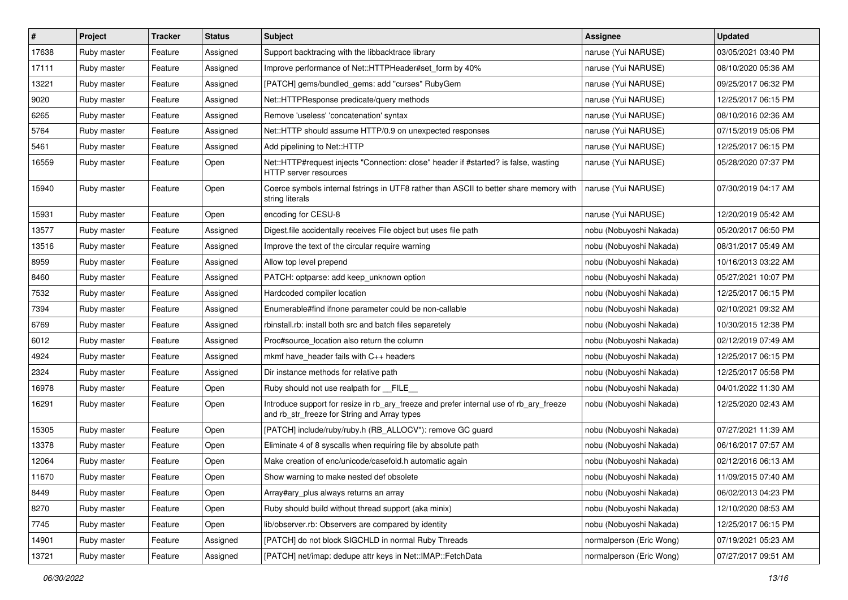| $\sharp$ | Project     | <b>Tracker</b> | <b>Status</b> | <b>Subject</b>                                                                                                                         | Assignee                 | <b>Updated</b>      |
|----------|-------------|----------------|---------------|----------------------------------------------------------------------------------------------------------------------------------------|--------------------------|---------------------|
| 17638    | Ruby master | Feature        | Assigned      | Support backtracing with the libbacktrace library                                                                                      | naruse (Yui NARUSE)      | 03/05/2021 03:40 PM |
| 17111    | Ruby master | Feature        | Assigned      | Improve performance of Net::HTTPHeader#set_form by 40%                                                                                 | naruse (Yui NARUSE)      | 08/10/2020 05:36 AM |
| 13221    | Ruby master | Feature        | Assigned      | [PATCH] gems/bundled_gems: add "curses" RubyGem                                                                                        | naruse (Yui NARUSE)      | 09/25/2017 06:32 PM |
| 9020     | Ruby master | Feature        | Assigned      | Net::HTTPResponse predicate/query methods                                                                                              | naruse (Yui NARUSE)      | 12/25/2017 06:15 PM |
| 6265     | Ruby master | Feature        | Assigned      | Remove 'useless' 'concatenation' syntax                                                                                                | naruse (Yui NARUSE)      | 08/10/2016 02:36 AM |
| 5764     | Ruby master | Feature        | Assigned      | Net::HTTP should assume HTTP/0.9 on unexpected responses                                                                               | naruse (Yui NARUSE)      | 07/15/2019 05:06 PM |
| 5461     | Ruby master | Feature        | Assigned      | Add pipelining to Net::HTTP                                                                                                            | naruse (Yui NARUSE)      | 12/25/2017 06:15 PM |
| 16559    | Ruby master | Feature        | Open          | Net::HTTP#request injects "Connection: close" header if #started? is false, wasting<br>HTTP server resources                           | naruse (Yui NARUSE)      | 05/28/2020 07:37 PM |
| 15940    | Ruby master | Feature        | Open          | Coerce symbols internal fstrings in UTF8 rather than ASCII to better share memory with<br>string literals                              | naruse (Yui NARUSE)      | 07/30/2019 04:17 AM |
| 15931    | Ruby master | Feature        | Open          | encoding for CESU-8                                                                                                                    | naruse (Yui NARUSE)      | 12/20/2019 05:42 AM |
| 13577    | Ruby master | Feature        | Assigned      | Digest file accidentally receives File object but uses file path                                                                       | nobu (Nobuyoshi Nakada)  | 05/20/2017 06:50 PM |
| 13516    | Ruby master | Feature        | Assigned      | Improve the text of the circular require warning                                                                                       | nobu (Nobuyoshi Nakada)  | 08/31/2017 05:49 AM |
| 8959     | Ruby master | Feature        | Assigned      | Allow top level prepend                                                                                                                | nobu (Nobuyoshi Nakada)  | 10/16/2013 03:22 AM |
| 8460     | Ruby master | Feature        | Assigned      | PATCH: optparse: add keep_unknown option                                                                                               | nobu (Nobuyoshi Nakada)  | 05/27/2021 10:07 PM |
| 7532     | Ruby master | Feature        | Assigned      | Hardcoded compiler location                                                                                                            | nobu (Nobuyoshi Nakada)  | 12/25/2017 06:15 PM |
| 7394     | Ruby master | Feature        | Assigned      | Enumerable#find ifnone parameter could be non-callable                                                                                 | nobu (Nobuyoshi Nakada)  | 02/10/2021 09:32 AM |
| 6769     | Ruby master | Feature        | Assigned      | rbinstall.rb: install both src and batch files separetely                                                                              | nobu (Nobuyoshi Nakada)  | 10/30/2015 12:38 PM |
| 6012     | Ruby master | Feature        | Assigned      | Proc#source_location also return the column                                                                                            | nobu (Nobuyoshi Nakada)  | 02/12/2019 07:49 AM |
| 4924     | Ruby master | Feature        | Assigned      | mkmf have header fails with C++ headers                                                                                                | nobu (Nobuyoshi Nakada)  | 12/25/2017 06:15 PM |
| 2324     | Ruby master | Feature        | Assigned      | Dir instance methods for relative path                                                                                                 | nobu (Nobuyoshi Nakada)  | 12/25/2017 05:58 PM |
| 16978    | Ruby master | Feature        | Open          | Ruby should not use realpath for __FILE_                                                                                               | nobu (Nobuyoshi Nakada)  | 04/01/2022 11:30 AM |
| 16291    | Ruby master | Feature        | Open          | Introduce support for resize in rb_ary_freeze and prefer internal use of rb_ary_freeze<br>and rb_str_freeze for String and Array types | nobu (Nobuyoshi Nakada)  | 12/25/2020 02:43 AM |
| 15305    | Ruby master | Feature        | Open          | [PATCH] include/ruby/ruby.h (RB_ALLOCV*): remove GC guard                                                                              | nobu (Nobuyoshi Nakada)  | 07/27/2021 11:39 AM |
| 13378    | Ruby master | Feature        | Open          | Eliminate 4 of 8 syscalls when requiring file by absolute path                                                                         | nobu (Nobuyoshi Nakada)  | 06/16/2017 07:57 AM |
| 12064    | Ruby master | Feature        | Open          | Make creation of enc/unicode/casefold.h automatic again                                                                                | nobu (Nobuyoshi Nakada)  | 02/12/2016 06:13 AM |
| 11670    | Ruby master | Feature        | Open          | Show warning to make nested def obsolete                                                                                               | nobu (Nobuyoshi Nakada)  | 11/09/2015 07:40 AM |
| 8449     | Ruby master | Feature        | Open          | Array#ary_plus always returns an array                                                                                                 | nobu (Nobuyoshi Nakada)  | 06/02/2013 04:23 PM |
| 8270     | Ruby master | Feature        | Open          | Ruby should build without thread support (aka minix)                                                                                   | nobu (Nobuyoshi Nakada)  | 12/10/2020 08:53 AM |
| 7745     | Ruby master | Feature        | Open          | lib/observer.rb: Observers are compared by identity                                                                                    | nobu (Nobuyoshi Nakada)  | 12/25/2017 06:15 PM |
| 14901    | Ruby master | Feature        | Assigned      | [PATCH] do not block SIGCHLD in normal Ruby Threads                                                                                    | normalperson (Eric Wong) | 07/19/2021 05:23 AM |
| 13721    | Ruby master | Feature        | Assigned      | [PATCH] net/imap: dedupe attr keys in Net::IMAP::FetchData                                                                             | normalperson (Eric Wong) | 07/27/2017 09:51 AM |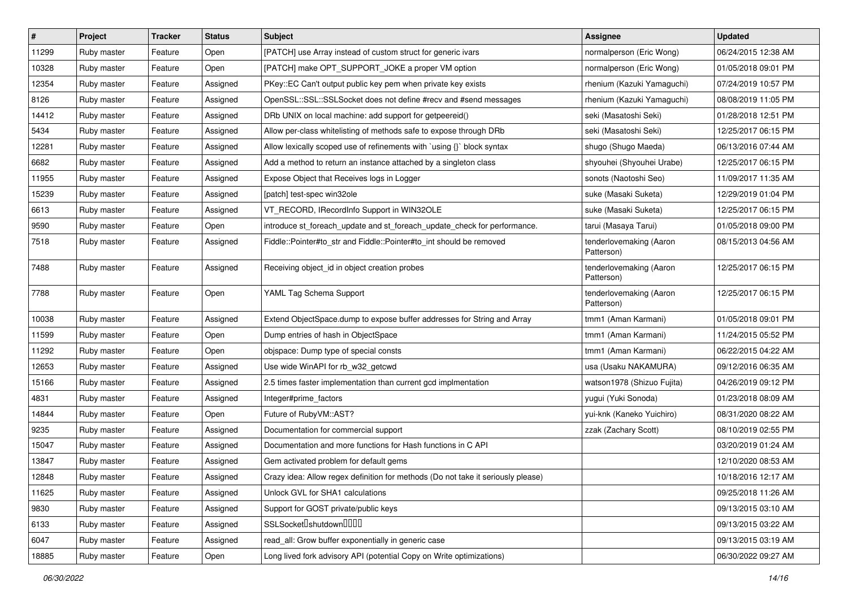| $\vert$ # | Project     | <b>Tracker</b> | <b>Status</b> | <b>Subject</b>                                                                   | <b>Assignee</b>                       | <b>Updated</b>      |
|-----------|-------------|----------------|---------------|----------------------------------------------------------------------------------|---------------------------------------|---------------------|
| 11299     | Ruby master | Feature        | Open          | [PATCH] use Array instead of custom struct for generic ivars                     | normalperson (Eric Wong)              | 06/24/2015 12:38 AM |
| 10328     | Ruby master | Feature        | Open          | [PATCH] make OPT_SUPPORT_JOKE a proper VM option                                 | normalperson (Eric Wong)              | 01/05/2018 09:01 PM |
| 12354     | Ruby master | Feature        | Assigned      | PKey::EC Can't output public key pem when private key exists                     | rhenium (Kazuki Yamaguchi)            | 07/24/2019 10:57 PM |
| 8126      | Ruby master | Feature        | Assigned      | OpenSSL::SSL:SSLSocket does not define #recv and #send messages                  | rhenium (Kazuki Yamaguchi)            | 08/08/2019 11:05 PM |
| 14412     | Ruby master | Feature        | Assigned      | DRb UNIX on local machine: add support for getpeereid()                          | seki (Masatoshi Seki)                 | 01/28/2018 12:51 PM |
| 5434      | Ruby master | Feature        | Assigned      | Allow per-class whitelisting of methods safe to expose through DRb               | seki (Masatoshi Seki)                 | 12/25/2017 06:15 PM |
| 12281     | Ruby master | Feature        | Assigned      | Allow lexically scoped use of refinements with 'using {}' block syntax           | shugo (Shugo Maeda)                   | 06/13/2016 07:44 AM |
| 6682      | Ruby master | Feature        | Assigned      | Add a method to return an instance attached by a singleton class                 | shyouhei (Shyouhei Urabe)             | 12/25/2017 06:15 PM |
| 11955     | Ruby master | Feature        | Assigned      | Expose Object that Receives logs in Logger                                       | sonots (Naotoshi Seo)                 | 11/09/2017 11:35 AM |
| 15239     | Ruby master | Feature        | Assigned      | [patch] test-spec win32ole                                                       | suke (Masaki Suketa)                  | 12/29/2019 01:04 PM |
| 6613      | Ruby master | Feature        | Assigned      | VT_RECORD, IRecordInfo Support in WIN32OLE                                       | suke (Masaki Suketa)                  | 12/25/2017 06:15 PM |
| 9590      | Ruby master | Feature        | Open          | introduce st_foreach_update and st_foreach_update_check for performance.         | tarui (Masaya Tarui)                  | 01/05/2018 09:00 PM |
| 7518      | Ruby master | Feature        | Assigned      | Fiddle::Pointer#to_str and Fiddle::Pointer#to_int should be removed              | tenderlovemaking (Aaron<br>Patterson) | 08/15/2013 04:56 AM |
| 7488      | Ruby master | Feature        | Assigned      | Receiving object_id in object creation probes                                    | tenderlovemaking (Aaron<br>Patterson) | 12/25/2017 06:15 PM |
| 7788      | Ruby master | Feature        | Open          | YAML Tag Schema Support                                                          | tenderlovemaking (Aaron<br>Patterson) | 12/25/2017 06:15 PM |
| 10038     | Ruby master | Feature        | Assigned      | Extend ObjectSpace.dump to expose buffer addresses for String and Array          | tmm1 (Aman Karmani)                   | 01/05/2018 09:01 PM |
| 11599     | Ruby master | Feature        | Open          | Dump entries of hash in ObjectSpace                                              | tmm1 (Aman Karmani)                   | 11/24/2015 05:52 PM |
| 11292     | Ruby master | Feature        | Open          | objspace: Dump type of special consts                                            | tmm1 (Aman Karmani)                   | 06/22/2015 04:22 AM |
| 12653     | Ruby master | Feature        | Assigned      | Use wide WinAPI for rb_w32_getcwd                                                | usa (Usaku NAKAMURA)                  | 09/12/2016 06:35 AM |
| 15166     | Ruby master | Feature        | Assigned      | 2.5 times faster implementation than current gcd implmentation                   | watson1978 (Shizuo Fujita)            | 04/26/2019 09:12 PM |
| 4831      | Ruby master | Feature        | Assigned      | Integer#prime_factors                                                            | yugui (Yuki Sonoda)                   | 01/23/2018 08:09 AM |
| 14844     | Ruby master | Feature        | Open          | Future of RubyVM::AST?                                                           | yui-knk (Kaneko Yuichiro)             | 08/31/2020 08:22 AM |
| 9235      | Ruby master | Feature        | Assigned      | Documentation for commercial support                                             | zzak (Zachary Scott)                  | 08/10/2019 02:55 PM |
| 15047     | Ruby master | Feature        | Assigned      | Documentation and more functions for Hash functions in C API                     |                                       | 03/20/2019 01:24 AM |
| 13847     | Ruby master | Feature        | Assigned      | Gem activated problem for default gems                                           |                                       | 12/10/2020 08:53 AM |
| 12848     | Ruby master | Feature        | Assigned      | Crazy idea: Allow regex definition for methods (Do not take it seriously please) |                                       | 10/18/2016 12:17 AM |
| 11625     | Ruby master | Feature        | Assigned      | Unlock GVL for SHA1 calculations                                                 |                                       | 09/25/2018 11:26 AM |
| 9830      | Ruby master | Feature        | Assigned      | Support for GOST private/public keys                                             |                                       | 09/13/2015 03:10 AM |
| 6133      | Ruby master | Feature        | Assigned      | SSLSocket <sup>[]</sup> shutdown <sup>[][][]</sup>                               |                                       | 09/13/2015 03:22 AM |
| 6047      | Ruby master | Feature        | Assigned      | read_all: Grow buffer exponentially in generic case                              |                                       | 09/13/2015 03:19 AM |
| 18885     | Ruby master | Feature        | Open          | Long lived fork advisory API (potential Copy on Write optimizations)             |                                       | 06/30/2022 09:27 AM |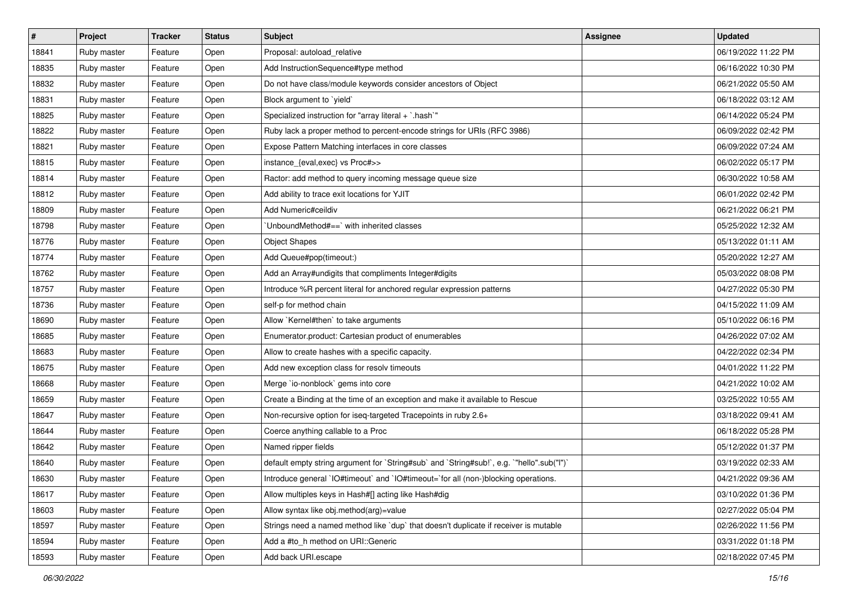| #     | Project     | <b>Tracker</b> | <b>Status</b> | <b>Subject</b>                                                                            | <b>Assignee</b> | <b>Updated</b>      |
|-------|-------------|----------------|---------------|-------------------------------------------------------------------------------------------|-----------------|---------------------|
| 18841 | Ruby master | Feature        | Open          | Proposal: autoload_relative                                                               |                 | 06/19/2022 11:22 PM |
| 18835 | Ruby master | Feature        | Open          | Add InstructionSequence#type method                                                       |                 | 06/16/2022 10:30 PM |
| 18832 | Ruby master | Feature        | Open          | Do not have class/module keywords consider ancestors of Object                            |                 | 06/21/2022 05:50 AM |
| 18831 | Ruby master | Feature        | Open          | Block argument to `yield`                                                                 |                 | 06/18/2022 03:12 AM |
| 18825 | Ruby master | Feature        | Open          | Specialized instruction for "array literal + `.hash`"                                     |                 | 06/14/2022 05:24 PM |
| 18822 | Ruby master | Feature        | Open          | Ruby lack a proper method to percent-encode strings for URIs (RFC 3986)                   |                 | 06/09/2022 02:42 PM |
| 18821 | Ruby master | Feature        | Open          | Expose Pattern Matching interfaces in core classes                                        |                 | 06/09/2022 07:24 AM |
| 18815 | Ruby master | Feature        | Open          | instance_{eval,exec} vs Proc#>>                                                           |                 | 06/02/2022 05:17 PM |
| 18814 | Ruby master | Feature        | Open          | Ractor: add method to query incoming message queue size                                   |                 | 06/30/2022 10:58 AM |
| 18812 | Ruby master | Feature        | Open          | Add ability to trace exit locations for YJIT                                              |                 | 06/01/2022 02:42 PM |
| 18809 | Ruby master | Feature        | Open          | Add Numeric#ceildiv                                                                       |                 | 06/21/2022 06:21 PM |
| 18798 | Ruby master | Feature        | Open          | UnboundMethod#==`with inherited classes                                                   |                 | 05/25/2022 12:32 AM |
| 18776 | Ruby master | Feature        | Open          | <b>Object Shapes</b>                                                                      |                 | 05/13/2022 01:11 AM |
| 18774 | Ruby master | Feature        | Open          | Add Queue#pop(timeout:)                                                                   |                 | 05/20/2022 12:27 AM |
| 18762 | Ruby master | Feature        | Open          | Add an Array#undigits that compliments Integer#digits                                     |                 | 05/03/2022 08:08 PM |
| 18757 | Ruby master | Feature        | Open          | Introduce %R percent literal for anchored regular expression patterns                     |                 | 04/27/2022 05:30 PM |
| 18736 | Ruby master | Feature        | Open          | self-p for method chain                                                                   |                 | 04/15/2022 11:09 AM |
| 18690 | Ruby master | Feature        | Open          | Allow `Kernel#then` to take arguments                                                     |                 | 05/10/2022 06:16 PM |
| 18685 | Ruby master | Feature        | Open          | Enumerator.product: Cartesian product of enumerables                                      |                 | 04/26/2022 07:02 AM |
| 18683 | Ruby master | Feature        | Open          | Allow to create hashes with a specific capacity.                                          |                 | 04/22/2022 02:34 PM |
| 18675 | Ruby master | Feature        | Open          | Add new exception class for resolv timeouts                                               |                 | 04/01/2022 11:22 PM |
| 18668 | Ruby master | Feature        | Open          | Merge `io-nonblock` gems into core                                                        |                 | 04/21/2022 10:02 AM |
| 18659 | Ruby master | Feature        | Open          | Create a Binding at the time of an exception and make it available to Rescue              |                 | 03/25/2022 10:55 AM |
| 18647 | Ruby master | Feature        | Open          | Non-recursive option for iseq-targeted Tracepoints in ruby 2.6+                           |                 | 03/18/2022 09:41 AM |
| 18644 | Ruby master | Feature        | Open          | Coerce anything callable to a Proc                                                        |                 | 06/18/2022 05:28 PM |
| 18642 | Ruby master | Feature        | Open          | Named ripper fields                                                                       |                 | 05/12/2022 01:37 PM |
| 18640 | Ruby master | Feature        | Open          | default empty string argument for `String#sub` and `String#sub!`, e.g. `"hello".sub("I")` |                 | 03/19/2022 02:33 AM |
| 18630 | Ruby master | Feature        | Open          | Introduce general `IO#timeout` and `IO#timeout=`for all (non-)blocking operations.        |                 | 04/21/2022 09:36 AM |
| 18617 | Ruby master | Feature        | Open          | Allow multiples keys in Hash#[] acting like Hash#dig                                      |                 | 03/10/2022 01:36 PM |
| 18603 | Ruby master | Feature        | Open          | Allow syntax like obj.method(arg)=value                                                   |                 | 02/27/2022 05:04 PM |
| 18597 | Ruby master | Feature        | Open          | Strings need a named method like `dup` that doesn't duplicate if receiver is mutable      |                 | 02/26/2022 11:56 PM |
| 18594 | Ruby master | Feature        | Open          | Add a #to_h method on URI::Generic                                                        |                 | 03/31/2022 01:18 PM |
| 18593 | Ruby master | Feature        | Open          | Add back URI.escape                                                                       |                 | 02/18/2022 07:45 PM |